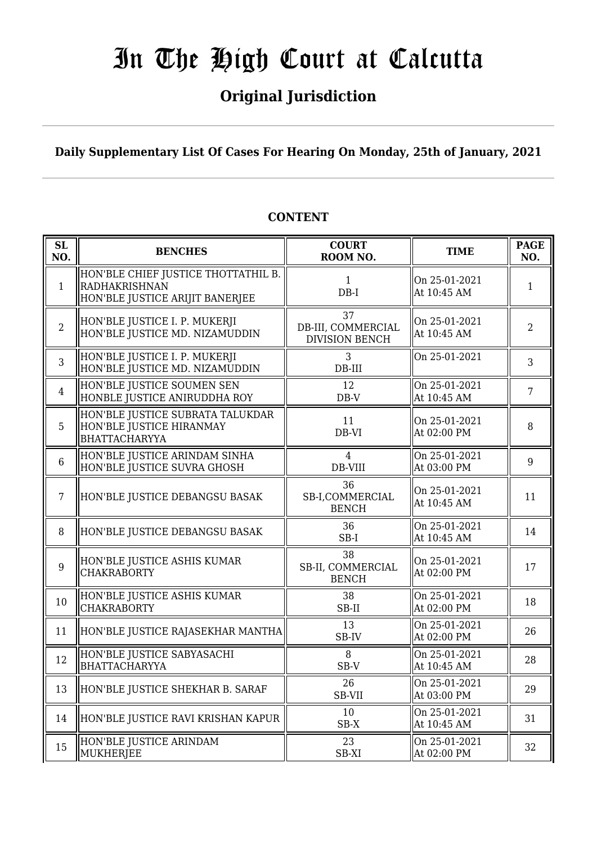## **Original Jurisdiction**

**Daily Supplementary List Of Cases For Hearing On Monday, 25th of January, 2021**

#### **SL SL BENCHES COURT**<br> **NO. BENCHES COURT ROOM NO. TIME PAGE**<br>**ROOM NO. NO.** 1 HON'BLE CHIEF JUSTICE THOTTATHIL B. RADHAKRISHNAN HON'BLE JUSTICE ARIJIT BANERJEE 1 DB-I On 25-01-2021 At  $10:45$  AM 1 2 HON'BLE JUSTICE I. P. MUKERJI HON'BLE JUSTICE MD. NIZAMUDDIN 37 DB-III, COMMERCIAL DIVISION BENCH On 25-01-2021 At 10:45 AM  $\begin{array}{|c|c|} \hline 2 & 2 \\ \hline \end{array}$ 3 HON'BLE JUSTICE I. P. MUKERJI HON'BLE JUSTICE MD. NIZAMUDDIN 3 DB-III On 25-01-2021  $\begin{array}{|c|c|} \hline 3 \\ \hline 3 \\ \hline \end{array}$ 4 HON'BLE JUSTICE SOUMEN SEN HONBLE JUSTICE ANIRUDDHA ROY 12 DB-V On 25-01-2021  $\left[\begin{array}{c|c}\n\text{Out 25-01-2021} \\
\text{At 10:45 AM}\n\end{array}\right] \left[\begin{array}{c|c}7\end{array}\right]$ 5 HON'BLE JUSTICE SUBRATA TALUKDAR HON'BLE JUSTICE HIRANMAY BHATTACHARYYA 11 DB-VI On 25-01-2021 At 02:00 PM  $\begin{array}{|c|c|} \hline 8 \end{array}$ 6 HON'BLE JUSTICE ARINDAM SINHA HON'BLE JUSTICE SUVRA GHOSH 4 DB-VIII On 25-01-2021  $\left[\begin{array}{c|c}\n0 & 23 & -01 & -2021 \\
\text{At } 0.3 & 0.01 & \text{PM}\n\end{array}\right] \quad 9$ 7 HON'BLE JUSTICE DEBANGSU BASAK 36 SB-I,COMMERCIAL BENCH On 25-01-2021 At 10:45 AM  $\begin{array}{|c|c|} \hline 11 & 11 \end{array}$ 8 HON'BLE JUSTICE DEBANGSU BASAK 36 SB-I On 25-01-2021 At 10:45 AM  $\begin{array}{|l|} \hline 14 \end{array}$ 9 HON'BLE JUSTICE ASHIS KUMAR CHAKRABORTY 38 SB-II, COMMERCIAL **BENCH** On 25-01-2021 On 25-01-2021  $\parallel$  17<br>At 02:00 PM  $\parallel$  17  $10$  HON'BLE JUSTICE ASHIS KUMAR CHAKRABORTY 38 SB-II On 25-01-2021 At 02:00 PM  $\begin{array}{|c|c|c|c|c|} \hline \text{At 02:00 PM} & & & 18 \ \hline \end{array}$ 11 HON'BLE JUSTICE RAJASEKHAR MANTHA SB-IV On 25-01-2021 At 02:00 PM  $\begin{array}{|l|} 26 \\ 4 \end{array}$ 12 HON'BLE JUSTICE SABYASACHI **BHATTACHARYYA** 8 SB-V On 25-01-2021  $\left\| \begin{array}{c} \n\text{OL} & 23-01-2021 \\ \n\text{At} & 10:45 \text{ AM} \n\end{array} \right\| = 28$ 13 HON'BLE JUSTICE SHEKHAR B. SARAF  $\parallel$  26 SB-VII On 25-01-2021 At 03:00 PM  $\begin{array}{|c|c|c|} \hline 29 \\ h & 29 \end{array}$ 14 HON'BLE JUSTICE RAVI KRISHAN KAPUR  $\parallel$  10 SB-X On 25-01-2021 At 10:45 AM  $\begin{array}{|l|} \hline 31 \end{array}$ 15 HON'BLE JUSTICE ARINDAM MUKHERIEE 23 SB-XI On 25-01-2021  $\left[\begin{array}{ccc} \n\text{OL} & 23-01-2021 \\ \n\text{At} & 02:00 \text{ PM} \n\end{array}\right]$  32

### **CONTENT**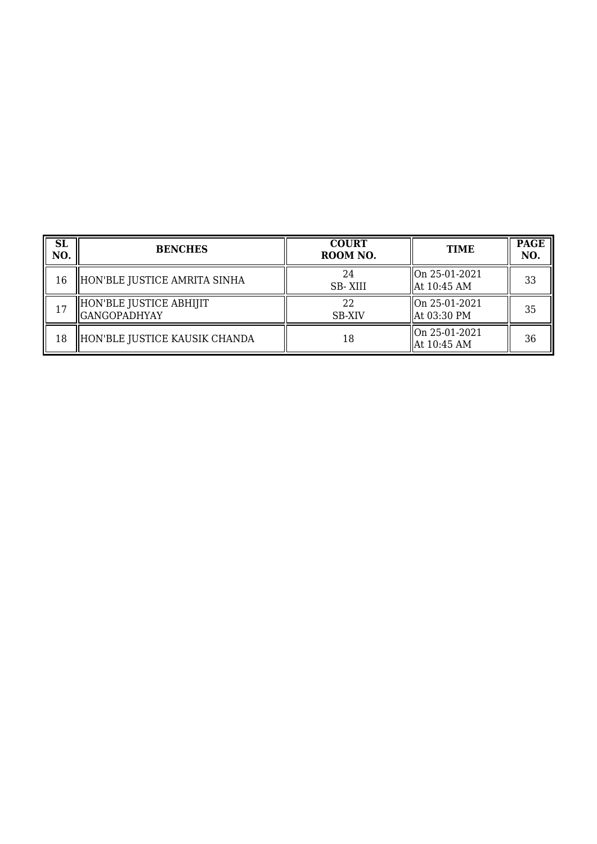| <b>SL</b><br>NO. | <b>BENCHES</b>                                 | <b>COURT</b><br>ROOM NO. | <b>TIME</b>                    | <b>PAGE</b><br>NO. |
|------------------|------------------------------------------------|--------------------------|--------------------------------|--------------------|
| 16               | HON'BLE JUSTICE AMRITA SINHA                   | 24<br><b>SB-XIII</b>     | On 25-01-2021<br>At 10:45 AM   | 33                 |
| 17               | HON'BLE JUSTICE ABHIJIT<br><b>GANGOPADHYAY</b> | 22<br><b>SB-XIV</b>      | On 25-01-2021<br>  At 03:30 PM | 35                 |
| 18               | HON'BLE JUSTICE KAUSIK CHANDA                  | 18                       | On 25-01-2021<br>At 10:45 AM   | 36                 |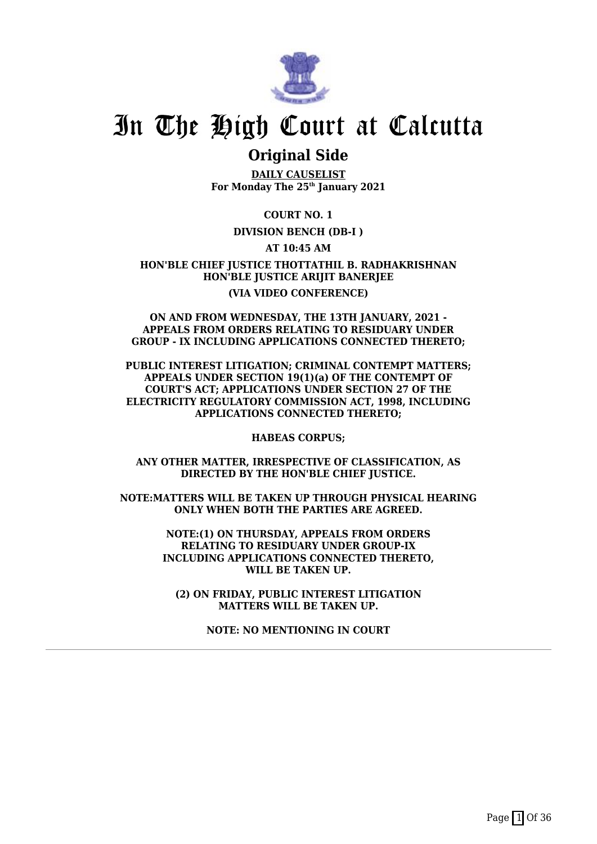

### **Original Side**

**DAILY CAUSELIST For Monday The 25th January 2021**

**COURT NO. 1**

**DIVISION BENCH (DB-I )**

**AT 10:45 AM**

**HON'BLE CHIEF JUSTICE THOTTATHIL B. RADHAKRISHNAN HON'BLE JUSTICE ARIJIT BANERJEE (VIA VIDEO CONFERENCE)**

#### **ON AND FROM WEDNESDAY, THE 13TH JANUARY, 2021 - APPEALS FROM ORDERS RELATING TO RESIDUARY UNDER GROUP - IX INCLUDING APPLICATIONS CONNECTED THERETO;**

**PUBLIC INTEREST LITIGATION; CRIMINAL CONTEMPT MATTERS; APPEALS UNDER SECTION 19(1)(a) OF THE CONTEMPT OF COURT'S ACT; APPLICATIONS UNDER SECTION 27 OF THE ELECTRICITY REGULATORY COMMISSION ACT, 1998, INCLUDING APPLICATIONS CONNECTED THERETO;**

**HABEAS CORPUS;**

**ANY OTHER MATTER, IRRESPECTIVE OF CLASSIFICATION, AS DIRECTED BY THE HON'BLE CHIEF JUSTICE.**

**NOTE:MATTERS WILL BE TAKEN UP THROUGH PHYSICAL HEARING ONLY WHEN BOTH THE PARTIES ARE AGREED.**

> **NOTE:(1) ON THURSDAY, APPEALS FROM ORDERS RELATING TO RESIDUARY UNDER GROUP-IX INCLUDING APPLICATIONS CONNECTED THERETO, WILL BE TAKEN UP.**

**(2) ON FRIDAY, PUBLIC INTEREST LITIGATION MATTERS WILL BE TAKEN UP.**

**NOTE: NO MENTIONING IN COURT**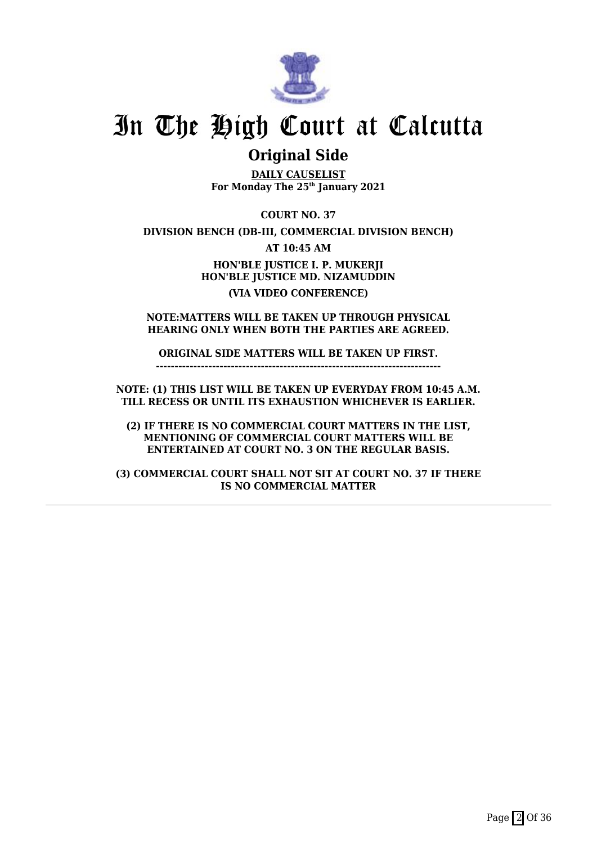

### **Original Side**

**DAILY CAUSELIST For Monday The 25th January 2021**

**COURT NO. 37**

**DIVISION BENCH (DB-III, COMMERCIAL DIVISION BENCH)**

**AT 10:45 AM**

**HON'BLE JUSTICE I. P. MUKERJI HON'BLE JUSTICE MD. NIZAMUDDIN (VIA VIDEO CONFERENCE)**

**NOTE:MATTERS WILL BE TAKEN UP THROUGH PHYSICAL HEARING ONLY WHEN BOTH THE PARTIES ARE AGREED.**

**ORIGINAL SIDE MATTERS WILL BE TAKEN UP FIRST. ----------------------------------------------------------------------------**

**NOTE: (1) THIS LIST WILL BE TAKEN UP EVERYDAY FROM 10:45 A.M. TILL RECESS OR UNTIL ITS EXHAUSTION WHICHEVER IS EARLIER.**

**(2) IF THERE IS NO COMMERCIAL COURT MATTERS IN THE LIST, MENTIONING OF COMMERCIAL COURT MATTERS WILL BE ENTERTAINED AT COURT NO. 3 ON THE REGULAR BASIS.**

**(3) COMMERCIAL COURT SHALL NOT SIT AT COURT NO. 37 IF THERE IS NO COMMERCIAL MATTER**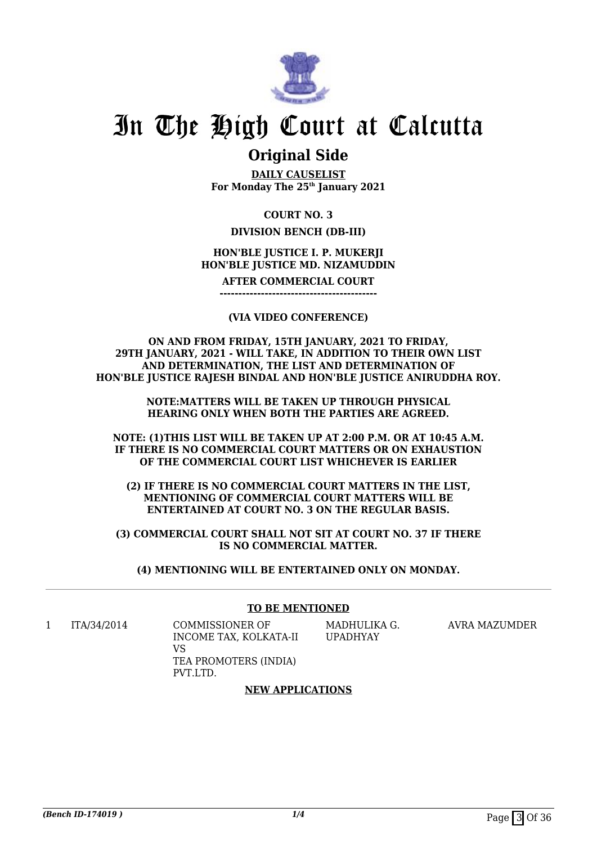

### **Original Side**

**DAILY CAUSELIST For Monday The 25th January 2021**

### **COURT NO. 3**

### **DIVISION BENCH (DB-III)**

### **HON'BLE JUSTICE I. P. MUKERJI HON'BLE JUSTICE MD. NIZAMUDDIN**

**AFTER COMMERCIAL COURT**

**------------------------------------------**

#### **(VIA VIDEO CONFERENCE)**

**ON AND FROM FRIDAY, 15TH JANUARY, 2021 TO FRIDAY, 29TH JANUARY, 2021 - WILL TAKE, IN ADDITION TO THEIR OWN LIST AND DETERMINATION, THE LIST AND DETERMINATION OF HON'BLE JUSTICE RAJESH BINDAL AND HON'BLE JUSTICE ANIRUDDHA ROY.**

> **NOTE:MATTERS WILL BE TAKEN UP THROUGH PHYSICAL HEARING ONLY WHEN BOTH THE PARTIES ARE AGREED.**

**NOTE: (1)THIS LIST WILL BE TAKEN UP AT 2:00 P.M. OR AT 10:45 A.M. IF THERE IS NO COMMERCIAL COURT MATTERS OR ON EXHAUSTION OF THE COMMERCIAL COURT LIST WHICHEVER IS EARLIER**

**(2) IF THERE IS NO COMMERCIAL COURT MATTERS IN THE LIST, MENTIONING OF COMMERCIAL COURT MATTERS WILL BE ENTERTAINED AT COURT NO. 3 ON THE REGULAR BASIS.**

**(3) COMMERCIAL COURT SHALL NOT SIT AT COURT NO. 37 IF THERE IS NO COMMERCIAL MATTER.**

**(4) MENTIONING WILL BE ENTERTAINED ONLY ON MONDAY.**

#### **TO BE MENTIONED**

1 ITA/34/2014 COMMISSIONER OF

INCOME TAX, KOLKATA-II VS TEA PROMOTERS (INDIA) PVT.LTD.

MADHULIKA G. UPADHYAY

AVRA MAZUMDER

### **NEW APPLICATIONS**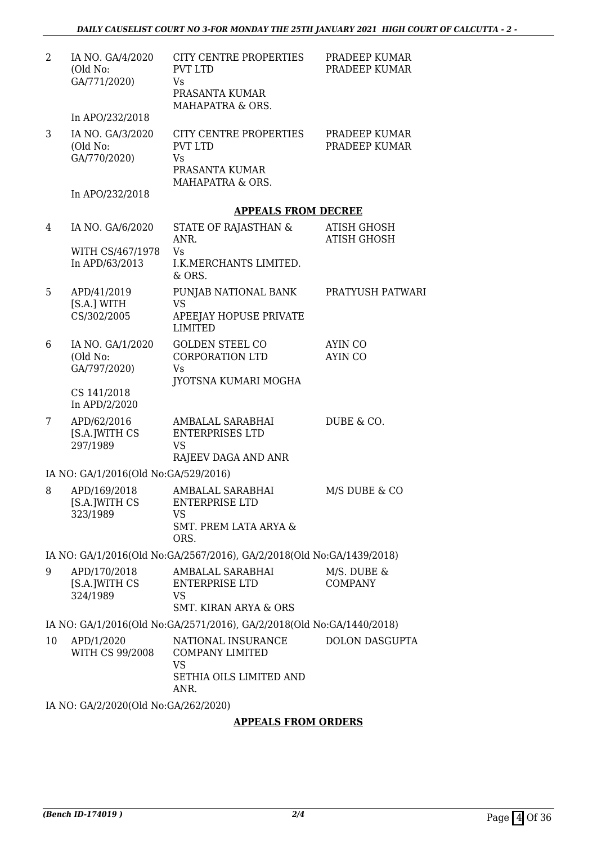| $\overline{2}$ | IA NO. GA/4/2020<br>(Old No:<br>GA/771/2020) | CITY CENTRE PROPERTIES<br><b>PVT LTD</b><br>Vs<br>PRASANTA KUMAR<br>MAHAPATRA & ORS.         | PRADEEP KUMAR<br>PRADEEP KUMAR           |
|----------------|----------------------------------------------|----------------------------------------------------------------------------------------------|------------------------------------------|
|                | In APO/232/2018                              |                                                                                              |                                          |
| 3              | IA NO. GA/3/2020<br>(Old No:<br>GA/770/2020) | CITY CENTRE PROPERTIES<br><b>PVT LTD</b><br><b>Vs</b><br>PRASANTA KUMAR<br>MAHAPATRA & ORS.  | PRADEEP KUMAR<br>PRADEEP KUMAR           |
|                | In APO/232/2018                              |                                                                                              |                                          |
|                |                                              | <b>APPEALS FROM DECREE</b>                                                                   |                                          |
| 4              | IA NO. GA/6/2020<br>WITH CS/467/1978         | STATE OF RAJASTHAN &<br>ANR.<br><b>Vs</b>                                                    | <b>ATISH GHOSH</b><br><b>ATISH GHOSH</b> |
|                | In APD/63/2013                               | I.K.MERCHANTS LIMITED.<br>$&$ ORS.                                                           |                                          |
| 5              | APD/41/2019<br>[S.A.] WITH<br>CS/302/2005    | PUNJAB NATIONAL BANK<br><b>VS</b><br>APEEJAY HOPUSE PRIVATE<br><b>LIMITED</b>                | PRATYUSH PATWARI                         |
| 6              | IA NO. GA/1/2020<br>(Old No:<br>GA/797/2020) | <b>GOLDEN STEEL CO</b><br><b>CORPORATION LTD</b><br><b>Vs</b><br>JYOTSNA KUMARI MOGHA        | <b>AYIN CO</b><br><b>AYIN CO</b>         |
|                | CS 141/2018<br>In APD/2/2020                 |                                                                                              |                                          |
| 7              | APD/62/2016<br>[S.A.]WITH CS<br>297/1989     | AMBALAL SARABHAI<br><b>ENTERPRISES LTD</b><br><b>VS</b><br>RAJEEV DAGA AND ANR               | DUBE & CO.                               |
|                | IA NO: GA/1/2016(Old No:GA/529/2016)         |                                                                                              |                                          |
| 8              | APD/169/2018<br>[S.A.]WITH CS<br>323/1989    | AMBALAL SARABHAI<br><b>ENTERPRISE LTD</b><br><b>VS</b><br>SMT. PREM LATA ARYA &<br>ORS.      | M/S DUBE & CO                            |
|                |                                              | IA NO: GA/1/2016(Old No:GA/2567/2016), GA/2/2018(Old No:GA/1439/2018)                        |                                          |
| 9              | APD/170/2018<br>[S.A.]WITH CS<br>324/1989    | AMBALAL SARABHAI<br>ENTERPRISE LTD<br>VS<br><b>SMT. KIRAN ARYA &amp; ORS</b>                 | M/S. DUBE &<br><b>COMPANY</b>            |
|                |                                              | IA NO: GA/1/2016(Old No:GA/2571/2016), GA/2/2018(Old No:GA/1440/2018)                        |                                          |
| 10             | APD/1/2020<br>WITH CS 99/2008                | NATIONAL INSURANCE<br><b>COMPANY LIMITED</b><br><b>VS</b><br>SETHIA OILS LIMITED AND<br>ANR. | <b>DOLON DASGUPTA</b>                    |
|                | IA NO: GA/2/2020(Old No:GA/262/2020)         |                                                                                              |                                          |

### **APPEALS FROM ORDERS**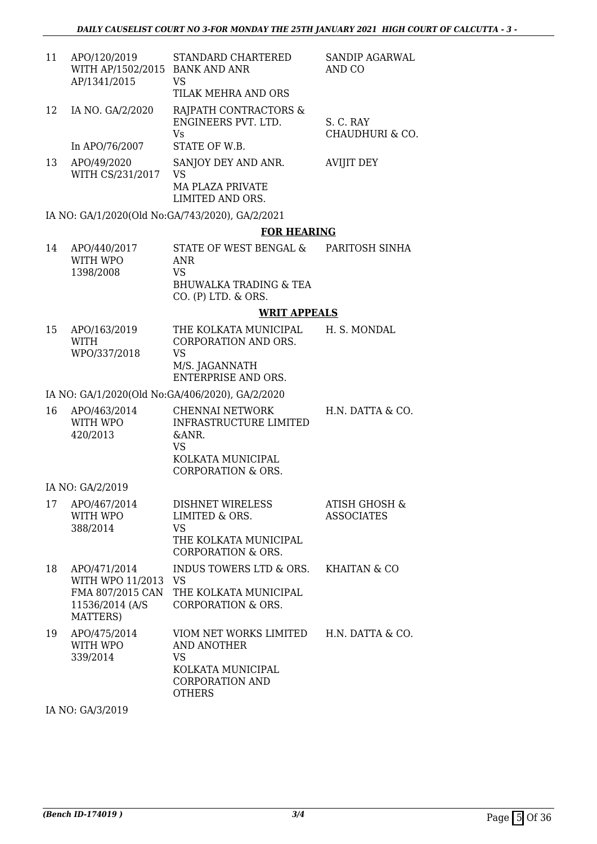SANDIP AGARWAL

CHAUDHURI & CO.

AND CO

S. C. RAY

- 11 APO/120/2019 WITH AP/1502/2015 BANK AND ANR AP/1341/2015 STANDARD CHARTERED VS TILAK MEHRA AND ORS
- 12 IA NO. GA/2/2020 RAJPATH CONTRACTORS & ENGINEERS PVT. LTD. Vs

In APO/76/2007 STATE OF W.B.

13 APO/49/2020 WITH CS/231/2017 SANJOY DEY AND ANR. VS MA PLAZA PRIVATE LIMITED AND ORS. AVIJIT DEY

IA NO: GA/1/2020(Old No:GA/743/2020), GA/2/2021

#### **FOR HEARING**

| 14 | APO/440/2017 | STATE OF WEST BENGAL &   | PARITOSH SINHA |
|----|--------------|--------------------------|----------------|
|    | WITH WPO     | ANR                      |                |
|    | 1398/2008    | VS.                      |                |
|    |              | BHUWALKA TRADING & TEA   |                |
|    |              | $CO.$ (P) LTD. $\&$ ORS. |                |

#### **WRIT APPEALS**

| 15 | APO/163/2019<br>WITH<br>WPO/337/2018 | THE KOLKATA MUNICIPAL<br>CORPORATION AND ORS.<br>VS. | H. S. MONDAL |
|----|--------------------------------------|------------------------------------------------------|--------------|
|    |                                      | M/S. JAGANNATH<br>ENTERPRISE AND ORS.                |              |

#### IA NO: GA/1/2020(Old No:GA/406/2020), GA/2/2020

| 16 | APO/463/2014<br>WITH WPO | CHENNAI NETWORK<br>INFRASTRUCTURE LIMITED | H.N. DATTA & CO. |
|----|--------------------------|-------------------------------------------|------------------|
|    | 420/2013                 | $\&$ ANR.<br>VS                           |                  |
|    |                          | KOLKATA MUNICIPAL                         |                  |
|    |                          | CORPORATION & ORS.                        |                  |

IA NO: GA/2/2019

| 17 | APO/467/2014<br>WITH WPO<br>388/2014                                                 | <b>DISHNET WIRELESS</b><br>LIMITED & ORS.<br>VS<br>THE KOLKATA MUNICIPAL<br>CORPORATION & ORS.        | ATISH GHOSH &<br><b>ASSOCIATES</b> |
|----|--------------------------------------------------------------------------------------|-------------------------------------------------------------------------------------------------------|------------------------------------|
| 18 | APO/471/2014<br>WITH WPO 11/2013<br>FMA 807/2015 CAN<br>11536/2014 (A/S)<br>MATTERS) | INDUS TOWERS LTD & ORS.<br>VS<br>THE KOLKATA MUNICIPAL<br>CORPORATION & ORS.                          | KHAITAN & CO                       |
| 19 | APO/475/2014<br>WITH WPO<br>339/2014                                                 | VIOM NET WORKS LIMITED<br>AND ANOTHER<br>VS.<br>KOLKATA MUNICIPAL<br>CORPORATION AND<br><b>OTHERS</b> | H.N. DATTA & CO.                   |

IA NO: GA/3/2019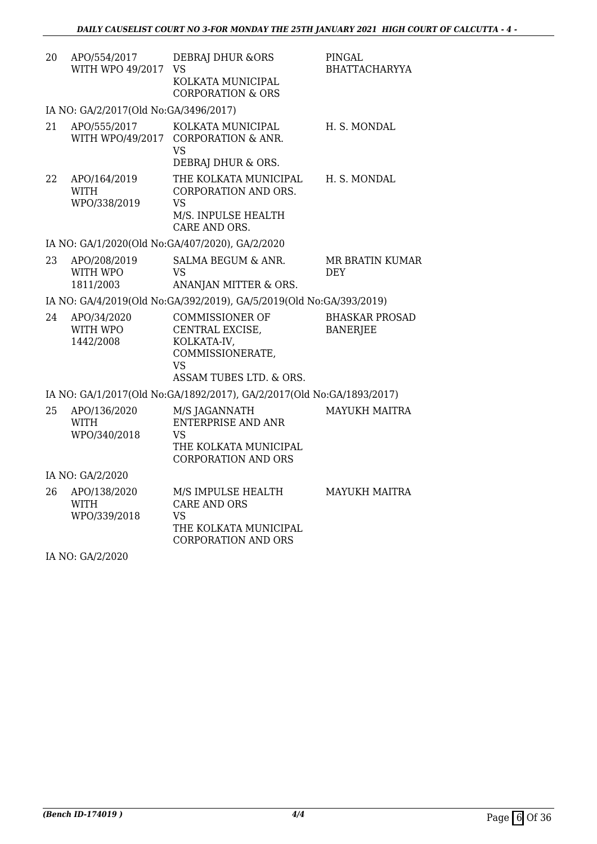| 20 | APO/554/2017<br>WITH WPO 49/2017            | <b>DEBRAJ DHUR &amp;ORS</b><br>VS<br>KOLKATA MUNICIPAL<br><b>CORPORATION &amp; ORS</b>                               | PINGAL<br><b>BHATTACHARYYA</b>           |
|----|---------------------------------------------|----------------------------------------------------------------------------------------------------------------------|------------------------------------------|
|    | IA NO: GA/2/2017(Old No:GA/3496/2017)       |                                                                                                                      |                                          |
| 21 | APO/555/2017<br>WITH WPO/49/2017            | KOLKATA MUNICIPAL<br><b>CORPORATION &amp; ANR.</b><br><b>VS</b><br>DEBRAJ DHUR & ORS.                                | H. S. MONDAL                             |
| 22 | APO/164/2019<br><b>WITH</b><br>WPO/338/2019 | THE KOLKATA MUNICIPAL<br>CORPORATION AND ORS.<br><b>VS</b><br>M/S. INPULSE HEALTH<br>CARE AND ORS.                   | H. S. MONDAL                             |
|    |                                             | IA NO: GA/1/2020(Old No:GA/407/2020), GA/2/2020                                                                      |                                          |
| 23 | APO/208/2019<br>WITH WPO<br>1811/2003       | <b>SALMA BEGUM &amp; ANR.</b><br><b>VS</b><br>ANANJAN MITTER & ORS.                                                  | <b>MR BRATIN KUMAR</b><br><b>DEY</b>     |
|    |                                             | IA NO: GA/4/2019(Old No:GA/392/2019), GA/5/2019(Old No:GA/393/2019)                                                  |                                          |
| 24 | APO/34/2020<br>WITH WPO<br>1442/2008        | <b>COMMISSIONER OF</b><br>CENTRAL EXCISE,<br>KOLKATA-IV,<br>COMMISSIONERATE,<br><b>VS</b><br>ASSAM TUBES LTD. & ORS. | <b>BHASKAR PROSAD</b><br><b>BANERJEE</b> |
|    |                                             | IA NO: GA/1/2017(Old No:GA/1892/2017), GA/2/2017(Old No:GA/1893/2017)                                                |                                          |
| 25 | APO/136/2020<br><b>WITH</b><br>WPO/340/2018 | M/S JAGANNATH<br><b>ENTERPRISE AND ANR</b><br>VS<br>THE KOLKATA MUNICIPAL<br><b>CORPORATION AND ORS</b>              | <b>MAYUKH MAITRA</b>                     |
|    | IA NO: GA/2/2020                            |                                                                                                                      |                                          |
| 26 | APO/138/2020<br><b>WITH</b><br>WPO/339/2018 | M/S IMPULSE HEALTH<br><b>CARE AND ORS</b><br><b>VS</b><br>THE KOLKATA MUNICIPAL<br><b>CORPORATION AND ORS</b>        | <b>MAYUKH MAITRA</b>                     |

IA NO: GA/2/2020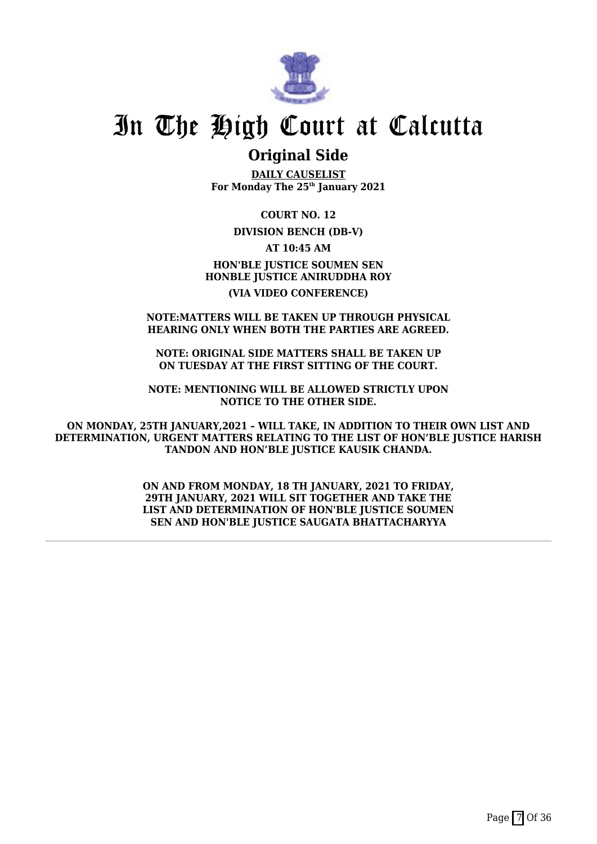

### **Original Side**

**DAILY CAUSELIST For Monday The 25th January 2021**

**COURT NO. 12**

### **DIVISION BENCH (DB-V)**

**AT 10:45 AM**

**HON'BLE JUSTICE SOUMEN SEN HONBLE JUSTICE ANIRUDDHA ROY**

### **(VIA VIDEO CONFERENCE)**

#### **NOTE:MATTERS WILL BE TAKEN UP THROUGH PHYSICAL HEARING ONLY WHEN BOTH THE PARTIES ARE AGREED.**

**NOTE: ORIGINAL SIDE MATTERS SHALL BE TAKEN UP ON TUESDAY AT THE FIRST SITTING OF THE COURT.**

**NOTE: MENTIONING WILL BE ALLOWED STRICTLY UPON NOTICE TO THE OTHER SIDE.**

**ON MONDAY, 25TH JANUARY,2021 – WILL TAKE, IN ADDITION TO THEIR OWN LIST AND DETERMINATION, URGENT MATTERS RELATING TO THE LIST OF HON'BLE JUSTICE HARISH TANDON AND HON'BLE JUSTICE KAUSIK CHANDA.**

> **ON AND FROM MONDAY, 18 TH JANUARY, 2021 TO FRIDAY, 29TH JANUARY, 2021 WILL SIT TOGETHER AND TAKE THE LIST AND DETERMINATION OF HON'BLE JUSTICE SOUMEN SEN AND HON'BLE JUSTICE SAUGATA BHATTACHARYYA**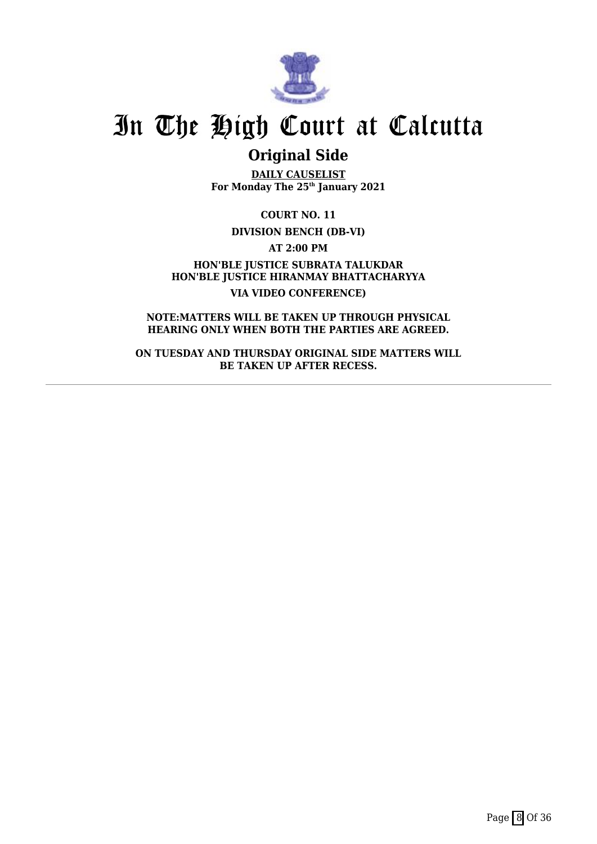

## **Original Side**

**DAILY CAUSELIST For Monday The 25th January 2021**

**COURT NO. 11**

**DIVISION BENCH (DB-VI)**

**AT 2:00 PM**

**HON'BLE JUSTICE SUBRATA TALUKDAR HON'BLE JUSTICE HIRANMAY BHATTACHARYYA VIA VIDEO CONFERENCE)**

**NOTE:MATTERS WILL BE TAKEN UP THROUGH PHYSICAL HEARING ONLY WHEN BOTH THE PARTIES ARE AGREED.**

**ON TUESDAY AND THURSDAY ORIGINAL SIDE MATTERS WILL BE TAKEN UP AFTER RECESS.**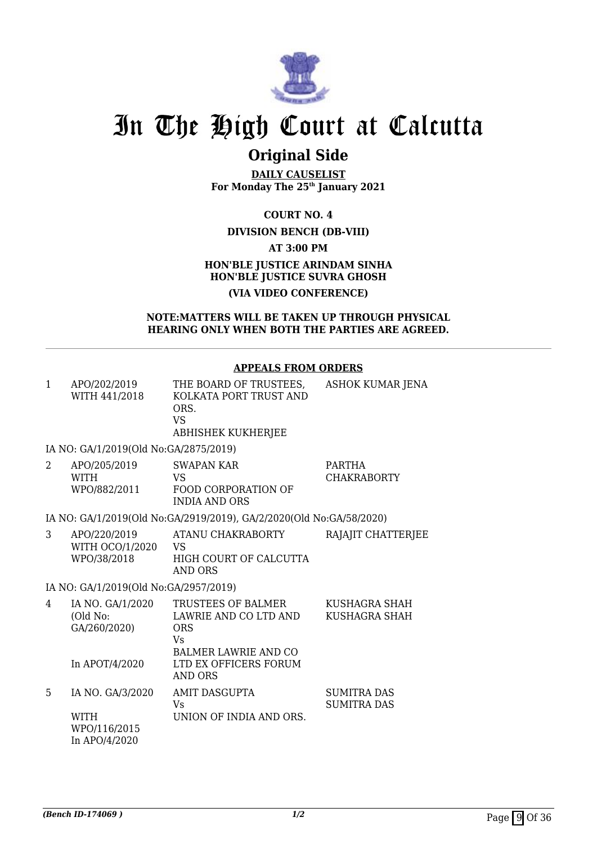

## **Original Side**

**DAILY CAUSELIST For Monday The 25th January 2021**

**COURT NO. 4**

### **DIVISION BENCH (DB-VIII)**

**AT 3:00 PM**

### **HON'BLE JUSTICE ARINDAM SINHA HON'BLE JUSTICE SUVRA GHOSH (VIA VIDEO CONFERENCE)**

### **NOTE:MATTERS WILL BE TAKEN UP THROUGH PHYSICAL HEARING ONLY WHEN BOTH THE PARTIES ARE AGREED.**

### **APPEALS FROM ORDERS**

| $\mathbf{1}$ | APO/202/2019<br>WITH 441/2018                                    | THE BOARD OF TRUSTEES,<br>KOLKATA PORT TRUST AND<br>ORS.<br><b>VS</b><br>ABHISHEK KUKHERJEE                                    | ASHOK KUMAR JENA                         |
|--------------|------------------------------------------------------------------|--------------------------------------------------------------------------------------------------------------------------------|------------------------------------------|
|              | IA NO: GA/1/2019(Old No:GA/2875/2019)                            |                                                                                                                                |                                          |
| 2            | APO/205/2019<br><b>WITH</b><br>WPO/882/2011                      | SWAPAN KAR<br>VS.<br><b>FOOD CORPORATION OF</b><br><b>INDIA AND ORS</b>                                                        | <b>PARTHA</b><br><b>CHAKRABORTY</b>      |
|              |                                                                  | IA NO: GA/1/2019(Old No:GA/2919/2019), GA/2/2020(Old No:GA/58/2020)                                                            |                                          |
| 3            | APO/220/2019<br>WITH OCO/1/2020<br>WPO/38/2018                   | ATANU CHAKRABORTY<br><b>VS</b><br>HIGH COURT OF CALCUTTA<br><b>AND ORS</b>                                                     | RAJAJIT CHATTERJEE                       |
|              | IA NO: GA/1/2019(Old No:GA/2957/2019)                            |                                                                                                                                |                                          |
| 4            | IA NO. GA/1/2020<br>(Old No:<br>GA/260/2020)<br>In APOT/4/2020   | TRUSTEES OF BALMER<br>LAWRIE AND CO LTD AND<br><b>ORS</b><br><b>Vs</b><br><b>BALMER LAWRIE AND CO</b><br>LTD EX OFFICERS FORUM | KUSHAGRA SHAH<br>KUSHAGRA SHAH           |
|              |                                                                  | <b>AND ORS</b>                                                                                                                 |                                          |
| 5            | IA NO. GA/3/2020<br><b>WITH</b><br>WPO/116/2015<br>In APO/4/2020 | <b>AMIT DASGUPTA</b><br><b>Vs</b><br>UNION OF INDIA AND ORS.                                                                   | <b>SUMITRA DAS</b><br><b>SUMITRA DAS</b> |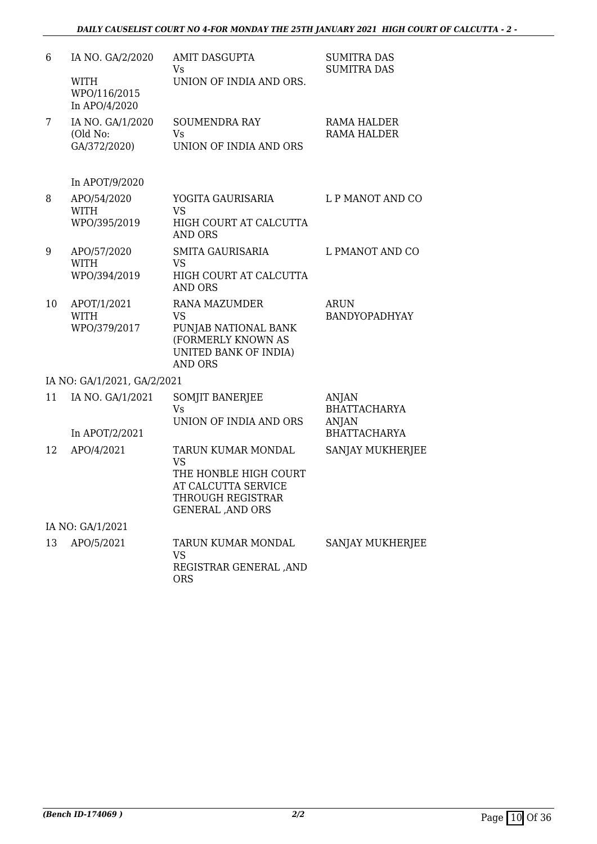| 6  | IA NO. GA/2/2020                             | <b>AMIT DASGUPTA</b><br>Vs                                                                                                        | <b>SUMITRA DAS</b><br><b>SUMITRA DAS</b>                     |
|----|----------------------------------------------|-----------------------------------------------------------------------------------------------------------------------------------|--------------------------------------------------------------|
|    | <b>WITH</b><br>WPO/116/2015<br>In APO/4/2020 | UNION OF INDIA AND ORS.                                                                                                           |                                                              |
| 7  | IA NO. GA/1/2020<br>(Old No:<br>GA/372/2020) | <b>SOUMENDRA RAY</b><br><b>Vs</b><br>UNION OF INDIA AND ORS                                                                       | RAMA HALDER<br><b>RAMA HALDER</b>                            |
|    | In APOT/9/2020                               |                                                                                                                                   |                                                              |
| 8  | APO/54/2020<br><b>WITH</b>                   | YOGITA GAURISARIA<br><b>VS</b>                                                                                                    | L P MANOT AND CO                                             |
|    | WPO/395/2019                                 | HIGH COURT AT CALCUTTA<br><b>AND ORS</b>                                                                                          |                                                              |
| 9  | APO/57/2020<br><b>WITH</b><br>WPO/394/2019   | <b>SMITA GAURISARIA</b><br><b>VS</b><br>HIGH COURT AT CALCUTTA                                                                    | L PMANOT AND CO                                              |
|    |                                              | <b>AND ORS</b>                                                                                                                    |                                                              |
| 10 | APOT/1/2021<br><b>WITH</b><br>WPO/379/2017   | <b>RANA MAZUMDER</b><br><b>VS</b><br>PUNJAB NATIONAL BANK<br>(FORMERLY KNOWN AS<br><b>UNITED BANK OF INDIA)</b><br><b>AND ORS</b> | <b>ARUN</b><br><b>BANDYOPADHYAY</b>                          |
|    | IA NO: GA/1/2021, GA/2/2021                  |                                                                                                                                   |                                                              |
| 11 | IA NO. GA/1/2021<br>In APOT/2/2021           | SOMJIT BANERJEE<br>Vs<br>UNION OF INDIA AND ORS                                                                                   | ANJAN<br><b>BHATTACHARYA</b><br>ANJAN<br><b>BHATTACHARYA</b> |
| 12 | APO/4/2021                                   | TARUN KUMAR MONDAL                                                                                                                | SANJAY MUKHERJEE                                             |
|    |                                              | <b>VS</b><br>THE HONBLE HIGH COURT<br>AT CALCUTTA SERVICE<br>THROUGH REGISTRAR<br><b>GENERAL, AND ORS</b>                         |                                                              |
|    | IA NO: GA/1/2021                             |                                                                                                                                   |                                                              |
| 13 | APO/5/2021                                   | <b>TARUN KUMAR MONDAL</b><br>VS<br>REGISTRAR GENERAL , AND<br><b>ORS</b>                                                          | <b>SANJAY MUKHERJEE</b>                                      |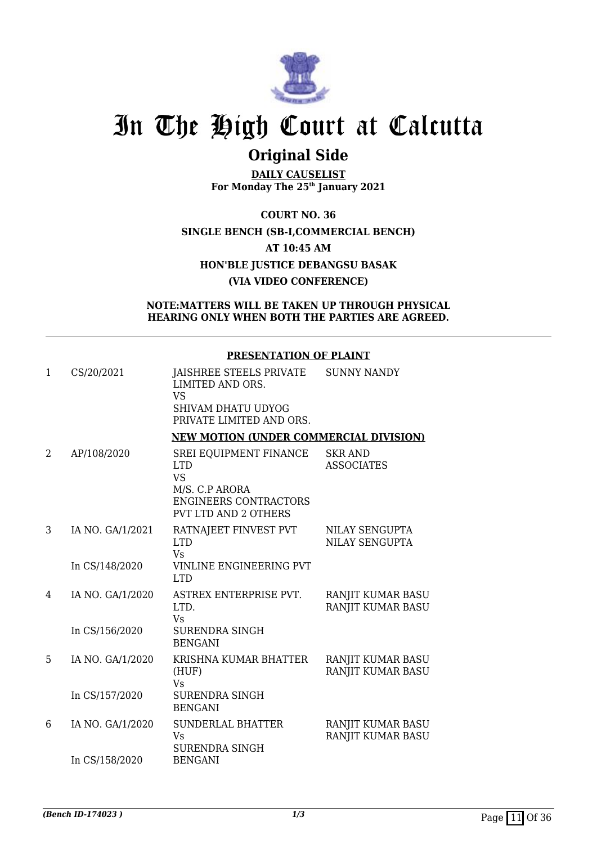

## **Original Side**

**DAILY CAUSELIST For Monday The 25th January 2021**

**COURT NO. 36 SINGLE BENCH (SB-I,COMMERCIAL BENCH) AT 10:45 AM HON'BLE JUSTICE DEBANGSU BASAK (VIA VIDEO CONFERENCE)**

### **NOTE:MATTERS WILL BE TAKEN UP THROUGH PHYSICAL HEARING ONLY WHEN BOTH THE PARTIES ARE AGREED.**

### **PRESENTATION OF PLAINT**

| $\mathbf{1}$ | CS/20/2021       | JAISHREE STEELS PRIVATE<br>LIMITED AND ORS.<br><b>VS</b><br>SHIVAM DHATU UDYOG<br>PRIVATE LIMITED AND ORS.                         | <b>SUNNY NANDY</b>                            |
|--------------|------------------|------------------------------------------------------------------------------------------------------------------------------------|-----------------------------------------------|
|              |                  | <b>NEW MOTION (UNDER COMMERCIAL DIVISION)</b>                                                                                      |                                               |
| 2            | AP/108/2020      | SREI EQUIPMENT FINANCE<br><b>LTD</b><br><b>VS</b><br>M/S. C.P ARORA<br><b>ENGINEERS CONTRACTORS</b><br><b>PVT LTD AND 2 OTHERS</b> | <b>SKR AND</b><br><b>ASSOCIATES</b>           |
| 3            | IA NO. GA/1/2021 | RATNAJEET FINVEST PVT<br><b>LTD</b><br><b>Vs</b>                                                                                   | NILAY SENGUPTA<br>NILAY SENGUPTA              |
|              | In CS/148/2020   | VINLINE ENGINEERING PVT<br><b>LTD</b>                                                                                              |                                               |
| 4            | IA NO. GA/1/2020 | ASTREX ENTERPRISE PVT.<br>LTD.<br>Vs                                                                                               | RANJIT KUMAR BASU<br><b>RANJIT KUMAR BASU</b> |
|              | In CS/156/2020   | <b>SURENDRA SINGH</b><br><b>BENGANI</b>                                                                                            |                                               |
| 5            | IA NO. GA/1/2020 | KRISHNA KUMAR BHATTER<br>(HUF)<br><b>Vs</b>                                                                                        | RANJIT KUMAR BASU<br>RANJIT KUMAR BASU        |
|              | In CS/157/2020   | <b>SURENDRA SINGH</b><br><b>BENGANI</b>                                                                                            |                                               |
| 6            | IA NO. GA/1/2020 | <b>SUNDERLAL BHATTER</b><br>Vs<br><b>SURENDRA SINGH</b>                                                                            | RANJIT KUMAR BASU<br>RANJIT KUMAR BASU        |
|              | In CS/158/2020   | <b>BENGANI</b>                                                                                                                     |                                               |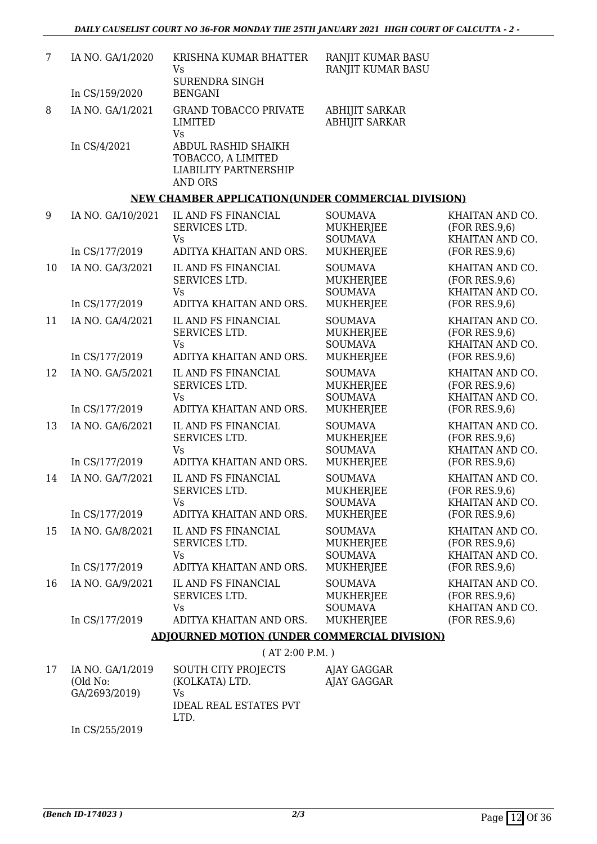| 7  | IA NO. GA/1/2020             | KRISHNA KUMAR BHATTER<br>Vs<br><b>SURENDRA SINGH</b>                                        | RANJIT KUMAR BASU<br>RANJIT KUMAR BASU               |                                                      |
|----|------------------------------|---------------------------------------------------------------------------------------------|------------------------------------------------------|------------------------------------------------------|
|    | In CS/159/2020               | <b>BENGANI</b>                                                                              |                                                      |                                                      |
| 8  | IA NO. GA/1/2021             | <b>GRAND TOBACCO PRIVATE</b><br>LIMITED<br>Vs                                               | <b>ABHIJIT SARKAR</b><br><b>ABHIJIT SARKAR</b>       |                                                      |
|    | In CS/4/2021                 | ABDUL RASHID SHAIKH<br>TOBACCO, A LIMITED<br><b>LIABILITY PARTNERSHIP</b><br><b>AND ORS</b> |                                                      |                                                      |
|    |                              | <b>NEW CHAMBER APPLICATION(UNDER COMMERCIAL DIVISION)</b>                                   |                                                      |                                                      |
| 9  | IA NO. GA/10/2021            | IL AND FS FINANCIAL<br>SERVICES LTD.<br>Vs                                                  | <b>SOUMAVA</b><br><b>MUKHERJEE</b><br><b>SOUMAVA</b> | KHAITAN AND CO.<br>(FOR RES.9,6)<br>KHAITAN AND CO.  |
|    | In CS/177/2019               | ADITYA KHAITAN AND ORS.                                                                     | <b>MUKHERJEE</b>                                     | (FOR RES.9,6)                                        |
| 10 | IA NO. GA/3/2021             | IL AND FS FINANCIAL<br>SERVICES LTD.<br>Vs                                                  | <b>SOUMAVA</b><br><b>MUKHERJEE</b><br><b>SOUMAVA</b> | KHAITAN AND CO.<br>(FOR RES.9,6)<br>KHAITAN AND CO.  |
|    | In CS/177/2019               | ADITYA KHAITAN AND ORS.                                                                     | <b>MUKHERJEE</b>                                     | (FOR RES.9,6)                                        |
| 11 | IA NO. GA/4/2021             | IL AND FS FINANCIAL<br>SERVICES LTD.<br>Vs                                                  | <b>SOUMAVA</b><br><b>MUKHERJEE</b><br><b>SOUMAVA</b> | KHAITAN AND CO.<br>(FOR RES.9,6)<br>KHAITAN AND CO.  |
|    | In CS/177/2019               | ADITYA KHAITAN AND ORS.                                                                     | MUKHERJEE                                            | (FOR RES.9,6)                                        |
| 12 | IA NO. GA/5/2021             | IL AND FS FINANCIAL<br>SERVICES LTD.<br>Vs                                                  | <b>SOUMAVA</b><br><b>MUKHERJEE</b><br><b>SOUMAVA</b> | KHAITAN AND CO.<br>(FOR RES.9,6)<br>KHAITAN AND CO.  |
|    | In CS/177/2019               | ADITYA KHAITAN AND ORS.                                                                     | MUKHERJEE                                            | (FOR RES.9,6)                                        |
| 13 | IA NO. GA/6/2021             | IL AND FS FINANCIAL<br>SERVICES LTD.<br><b>Vs</b>                                           | <b>SOUMAVA</b><br><b>MUKHERJEE</b><br><b>SOUMAVA</b> | KHAITAN AND CO.<br>(FOR RES.9,6)<br>KHAITAN AND CO.  |
|    | In CS/177/2019               | ADITYA KHAITAN AND ORS.                                                                     | MUKHERJEE                                            | (FOR RES.9,6)                                        |
| 14 | IA NO. GA/7/2021             | IL AND FS FINANCIAL<br>SERVICES LTD.<br>Vs                                                  | <b>SOUMAVA</b><br><b>MUKHERJEE</b><br><b>SOUMAVA</b> | KHAITAN AND CO.<br>(FOR RES.9,6)<br>KHAITAN AND CO.  |
|    | In CS/177/2019               | ADITYA KHAITAN AND ORS.                                                                     | <b>MUKHERJEE</b>                                     | (FOR RES.9,6)                                        |
| 15 | IA NO. GA/8/2021             | IL AND FS FINANCIAL<br>SERVICES LTD.<br>Vs                                                  | <b>SOUMAVA</b><br>MUKHERJEE<br><b>SOUMAVA</b>        | KHAITAN AND CO.<br>(FOR RES.9,6)<br>KHAITAN AND CO.  |
|    | In CS/177/2019               | ADITYA KHAITAN AND ORS.                                                                     | <b>MUKHERJEE</b>                                     | (FOR RES.9,6)                                        |
| 16 | IA NO. GA/9/2021             | IL AND FS FINANCIAL<br>SERVICES LTD.<br>Vs                                                  | <b>SOUMAVA</b><br><b>MUKHERJEE</b><br><b>SOUMAVA</b> | KHAITAN AND CO.<br>(FOR RES.9, 6)<br>KHAITAN AND CO. |
|    | In CS/177/2019               | ADITYA KHAITAN AND ORS.                                                                     | MUKHERJEE                                            | (FOR RES.9,6)                                        |
|    |                              | <b>ADJOURNED MOTION (UNDER COMMERCIAL DIVISION)</b>                                         |                                                      |                                                      |
|    |                              | (AT 2:00 P.M.)                                                                              |                                                      |                                                      |
| 17 | IA NO. GA/1/2019<br>(Old No: | <b>SOUTH CITY PROJECTS</b><br>(KOLKATA) LTD.                                                | AJAY GAGGAR<br>AJAY GAGGAR                           |                                                      |

In CS/255/2019

Vs

LTD.

IDEAL REAL ESTATES PVT

GA/2693/2019)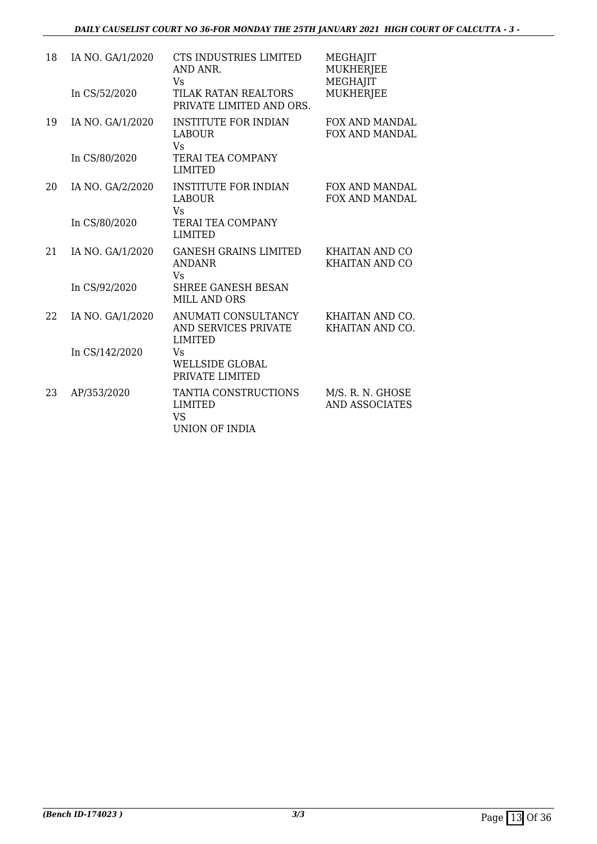| 18 | IA NO. GA/1/2020<br>In CS/52/2020 | CTS INDUSTRIES LIMITED<br>AND ANR.<br>Vs<br>TILAK RATAN REALTORS<br>PRIVATE LIMITED AND ORS. | MEGHAJIT<br><b>MUKHERJEE</b><br><b>MEGHAJIT</b><br><b>MUKHERJEE</b> |
|----|-----------------------------------|----------------------------------------------------------------------------------------------|---------------------------------------------------------------------|
| 19 | IA NO. GA/1/2020                  | <b>INSTITUTE FOR INDIAN</b><br><b>LABOUR</b><br>Vs                                           | <b>FOX AND MANDAL</b><br>FOX AND MANDAL                             |
|    | In CS/80/2020                     | TERAI TEA COMPANY<br><b>LIMITED</b>                                                          |                                                                     |
| 20 | IA NO. GA/2/2020                  | <b>INSTITUTE FOR INDIAN</b><br><b>LABOUR</b><br>Vs.                                          | <b>FOX AND MANDAL</b><br>FOX AND MANDAL                             |
|    | In CS/80/2020                     | TERAI TEA COMPANY<br><b>LIMITED</b>                                                          |                                                                     |
| 21 | IA NO. GA/1/2020                  | <b>GANESH GRAINS LIMITED</b><br><b>ANDANR</b><br><b>Vs</b>                                   | KHAITAN AND CO<br><b>KHAITAN AND CO</b>                             |
|    | In CS/92/2020                     | <b>SHREE GANESH BESAN</b><br><b>MILL AND ORS</b>                                             |                                                                     |
| 22 | IA NO. GA/1/2020                  | ANUMATI CONSULTANCY<br>AND SERVICES PRIVATE<br><b>LIMITED</b>                                | KHAITAN AND CO.<br>KHAITAN AND CO.                                  |
|    | In CS/142/2020                    | Vs<br><b>WELLSIDE GLOBAL</b><br>PRIVATE LIMITED                                              |                                                                     |
| 23 | AP/353/2020                       | TANTIA CONSTRUCTIONS<br><b>LIMITED</b><br><b>VS</b><br>UNION OF INDIA                        | M/S. R. N. GHOSE<br><b>AND ASSOCIATES</b>                           |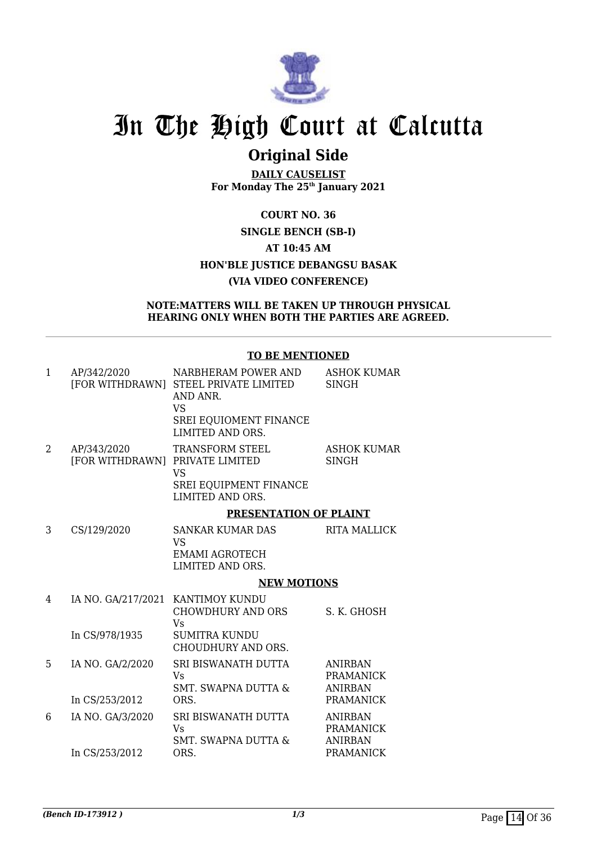

## **Original Side**

**DAILY CAUSELIST For Monday The 25th January 2021**

**COURT NO. 36 SINGLE BENCH (SB-I) AT 10:45 AM HON'BLE JUSTICE DEBANGSU BASAK (VIA VIDEO CONFERENCE)**

### **NOTE:MATTERS WILL BE TAKEN UP THROUGH PHYSICAL HEARING ONLY WHEN BOTH THE PARTIES ARE AGREED.**

### **TO BE MENTIONED**

| 1 | AP/342/2020                                    | NARBHERAM POWER AND<br>[FOR WITHDRAWN] STEEL PRIVATE LIMITED<br>AND ANR.<br><b>VS</b> | <b>ASHOK KUMAR</b><br><b>SINGH</b> |
|---|------------------------------------------------|---------------------------------------------------------------------------------------|------------------------------------|
|   |                                                | SREI EQUIOMENT FINANCE<br>LIMITED AND ORS.                                            |                                    |
| 2 | AP/343/2020<br>[FOR WITHDRAWN] PRIVATE LIMITED | TRANSFORM STEEL<br><b>VS</b>                                                          | <b>ASHOK KUMAR</b><br><b>SINGH</b> |
|   |                                                | <b>SREI EQUIPMENT FINANCE</b><br>LIMITED AND ORS.                                     |                                    |
|   |                                                | <b>PRESENTATION OF PLAINT</b>                                                         |                                    |
| 3 | CS/129/2020                                    | <b>SANKAR KUMAR DAS</b><br><b>VS</b>                                                  | <b>RITA MALLICK</b>                |
|   |                                                | <b>EMAMI AGROTECH</b><br>LIMITED AND ORS.                                             |                                    |
|   |                                                | <b>NEW MOTIONS</b>                                                                    |                                    |
| 4 | IA NO. GA/217/2021                             | <b>KANTIMOY KUNDU</b><br>CHOWDHURY AND ORS<br>Vs                                      | S. K. GHOSH                        |
|   | In CS/978/1935                                 | <b>SUMITRA KUNDU</b><br>CHOUDHURY AND ORS.                                            |                                    |
| 5 | IA NO. GA/2/2020                               | SRI BISWANATH DUTTA<br>Vs                                                             | <b>ANIRBAN</b><br><b>PRAMANICK</b> |
|   | In CS/253/2012                                 | <b>SMT. SWAPNA DUTTA &amp;</b><br>ORS.                                                | <b>ANIRBAN</b><br><b>PRAMANICK</b> |
| 6 | IA NO. GA/3/2020                               | SRI BISWANATH DUTTA<br>Vs                                                             | <b>ANIRBAN</b><br><b>PRAMANICK</b> |
|   | In CS/253/2012                                 | <b>SMT. SWAPNA DUTTA &amp;</b><br>ORS.                                                | <b>ANIRBAN</b><br><b>PRAMANICK</b> |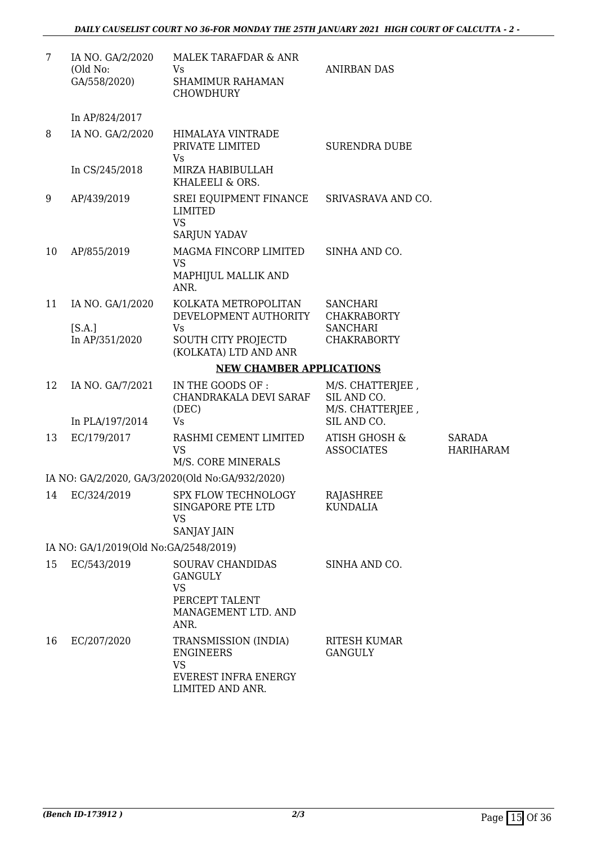| 7  | IA NO. GA/2/2020<br>(Old No:<br>GA/558/2020) | MALEK TARAFDAR & ANR<br>Vs<br>SHAMIMUR RAHAMAN<br><b>CHOWDHURY</b>                                       | <b>ANIRBAN DAS</b>                                  |                                   |
|----|----------------------------------------------|----------------------------------------------------------------------------------------------------------|-----------------------------------------------------|-----------------------------------|
|    | In AP/824/2017                               |                                                                                                          |                                                     |                                   |
| 8  | IA NO. GA/2/2020                             | HIMALAYA VINTRADE<br>PRIVATE LIMITED<br>Vs                                                               | <b>SURENDRA DUBE</b>                                |                                   |
|    | In CS/245/2018                               | MIRZA HABIBULLAH<br>KHALEELI & ORS.                                                                      |                                                     |                                   |
| 9  | AP/439/2019                                  | SREI EQUIPMENT FINANCE<br>LIMITED<br><b>VS</b>                                                           | SRIVASRAVA AND CO.                                  |                                   |
| 10 | AP/855/2019                                  | <b>SARJUN YADAV</b><br>MAGMA FINCORP LIMITED                                                             | SINHA AND CO.                                       |                                   |
|    |                                              | <b>VS</b><br>MAPHIJUL MALLIK AND<br>ANR.                                                                 |                                                     |                                   |
| 11 | IA NO. GA/1/2020                             | KOLKATA METROPOLITAN<br>DEVELOPMENT AUTHORITY                                                            | <b>SANCHARI</b><br><b>CHAKRABORTY</b>               |                                   |
|    | [S.A.]<br>In AP/351/2020                     | <b>Vs</b><br><b>SOUTH CITY PROJECTD</b><br>(KOLKATA) LTD AND ANR                                         | <b>SANCHARI</b><br><b>CHAKRABORTY</b>               |                                   |
|    |                                              | <b>NEW CHAMBER APPLICATIONS</b>                                                                          |                                                     |                                   |
| 12 | IA NO. GA/7/2021                             | IN THE GOODS OF :<br>CHANDRAKALA DEVI SARAF<br>(DEC)                                                     | M/S. CHATTERJEE,<br>SIL AND CO.<br>M/S. CHATTERJEE, |                                   |
|    | In PLA/197/2014                              | <b>Vs</b>                                                                                                | SIL AND CO.                                         |                                   |
| 13 | EC/179/2017                                  | RASHMI CEMENT LIMITED<br><b>VS</b><br>M/S. CORE MINERALS                                                 | ATISH GHOSH &<br><b>ASSOCIATES</b>                  | <b>SARADA</b><br><b>HARIHARAM</b> |
|    |                                              | IA NO: GA/2/2020, GA/3/2020(Old No:GA/932/2020)                                                          |                                                     |                                   |
|    | 14 EC/324/2019                               | SPX FLOW TECHNOLOGY<br>SINGAPORE PTE LTD<br><b>VS</b><br>SANJAY JAIN                                     | RAJASHREE<br><b>KUNDALIA</b>                        |                                   |
|    | IA NO: GA/1/2019(Old No:GA/2548/2019)        |                                                                                                          |                                                     |                                   |
| 15 | EC/543/2019                                  | <b>SOURAV CHANDIDAS</b><br><b>GANGULY</b><br><b>VS</b><br>PERCEPT TALENT<br>MANAGEMENT LTD. AND<br>ANR.  | SINHA AND CO.                                       |                                   |
| 16 | EC/207/2020                                  | TRANSMISSION (INDIA)<br><b>ENGINEERS</b><br><b>VS</b><br><b>EVEREST INFRA ENERGY</b><br>LIMITED AND ANR. | <b>RITESH KUMAR</b><br><b>GANGULY</b>               |                                   |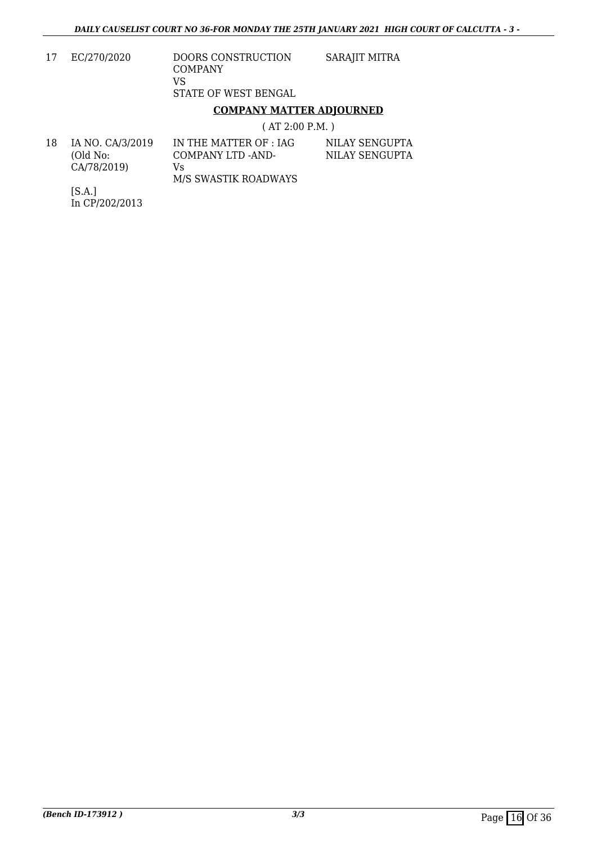| 17 | EC/270/2020 | <b>DOORS CONSTRUCTION</b><br>COMPANY | SARAJIT MITRA |
|----|-------------|--------------------------------------|---------------|
|    |             | VS                                   |               |
|    |             | STATE OF WEST BENGAL                 |               |

### **COMPANY MATTER ADJOURNED**

( AT 2:00 P.M. )

| 18 | IA NO. CA/3/2019<br>(Old No: | IN THE MATTER OF : IAG<br>COMPANY LTD -AND- | NILAY SENGUPTA<br>NILAY SENGUPTA |
|----|------------------------------|---------------------------------------------|----------------------------------|
|    | CA/78/2019)                  | Vs.                                         |                                  |
|    | <u>.</u>                     | M/S SWASTIK ROADWAYS                        |                                  |

[S.A.] In CP/202/2013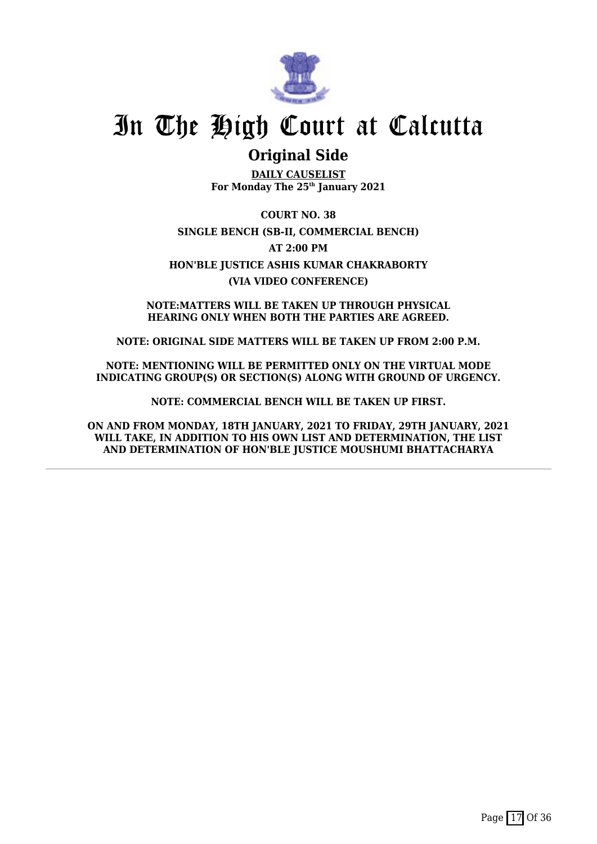

## **Original Side**

**DAILY CAUSELIST For Monday The 25th January 2021**

**COURT NO. 38 SINGLE BENCH (SB-II, COMMERCIAL BENCH) AT 2:00 PM HON'BLE JUSTICE ASHIS KUMAR CHAKRABORTY (VIA VIDEO CONFERENCE)**

**NOTE:MATTERS WILL BE TAKEN UP THROUGH PHYSICAL HEARING ONLY WHEN BOTH THE PARTIES ARE AGREED.**

**NOTE: ORIGINAL SIDE MATTERS WILL BE TAKEN UP FROM 2:00 P.M.**

**NOTE: MENTIONING WILL BE PERMITTED ONLY ON THE VIRTUAL MODE INDICATING GROUP(S) OR SECTION(S) ALONG WITH GROUND OF URGENCY.**

**NOTE: COMMERCIAL BENCH WILL BE TAKEN UP FIRST.**

**ON AND FROM MONDAY, 18TH JANUARY, 2021 TO FRIDAY, 29TH JANUARY, 2021 WILL TAKE, IN ADDITION TO HIS OWN LIST AND DETERMINATION, THE LIST AND DETERMINATION OF HON'BLE JUSTICE MOUSHUMI BHATTACHARYA**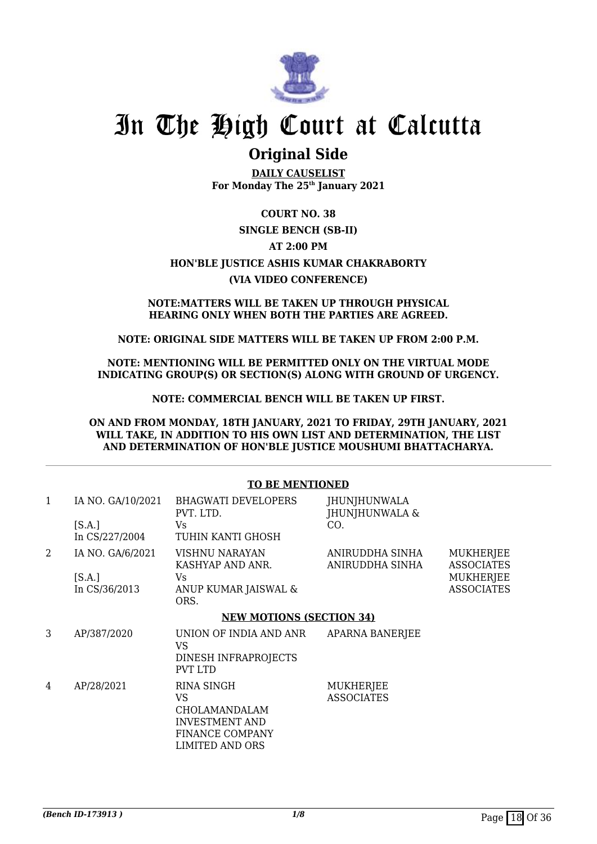

### **Original Side**

**DAILY CAUSELIST For Monday The 25th January 2021**

### **COURT NO. 38 SINGLE BENCH (SB-II) AT 2:00 PM HON'BLE JUSTICE ASHIS KUMAR CHAKRABORTY (VIA VIDEO CONFERENCE)**

#### **NOTE:MATTERS WILL BE TAKEN UP THROUGH PHYSICAL HEARING ONLY WHEN BOTH THE PARTIES ARE AGREED.**

### **NOTE: ORIGINAL SIDE MATTERS WILL BE TAKEN UP FROM 2:00 P.M.**

**NOTE: MENTIONING WILL BE PERMITTED ONLY ON THE VIRTUAL MODE INDICATING GROUP(S) OR SECTION(S) ALONG WITH GROUND OF URGENCY.**

**NOTE: COMMERCIAL BENCH WILL BE TAKEN UP FIRST.**

**ON AND FROM MONDAY, 18TH JANUARY, 2021 TO FRIDAY, 29TH JANUARY, 2021 WILL TAKE, IN ADDITION TO HIS OWN LIST AND DETERMINATION, THE LIST AND DETERMINATION OF HON'BLE JUSTICE MOUSHUMI BHATTACHARYA.**

#### **TO BE MENTIONED** 1 IA NO. GA/10/2021  $[S.A.]$ In CS/227/2004 BHAGWATI DEVELOPERS PVT. LTD. Vs TUHIN KANTI GHOSH JHUNJHUNWALA JHUNJHUNWALA &  $CO<sub>2</sub>$ 2 IA NO. GA/6/2021  $[S.A.]$ In CS/36/2013 VISHNU NARAYAN KASHYAP AND ANR. Vs ANUP KUMAR JAISWAL & ORS. ANIRUDDHA SINHA ANIRUDDHA SINHA MUKHERJEE ASSOCIATES **MUKHERIEE** ASSOCIATES **NEW MOTIONS (SECTION 34)** 3 AP/387/2020 UNION OF INDIA AND ANR VS DINESH INFRAPROJECTS PVT LTD APARNA BANERJEE 4 AP/28/2021 RINA SINGH VS CHOLAMANDALAM INVESTMENT AND FINANCE COMPANY LIMITED AND ORS **MUKHERIEE** ASSOCIATES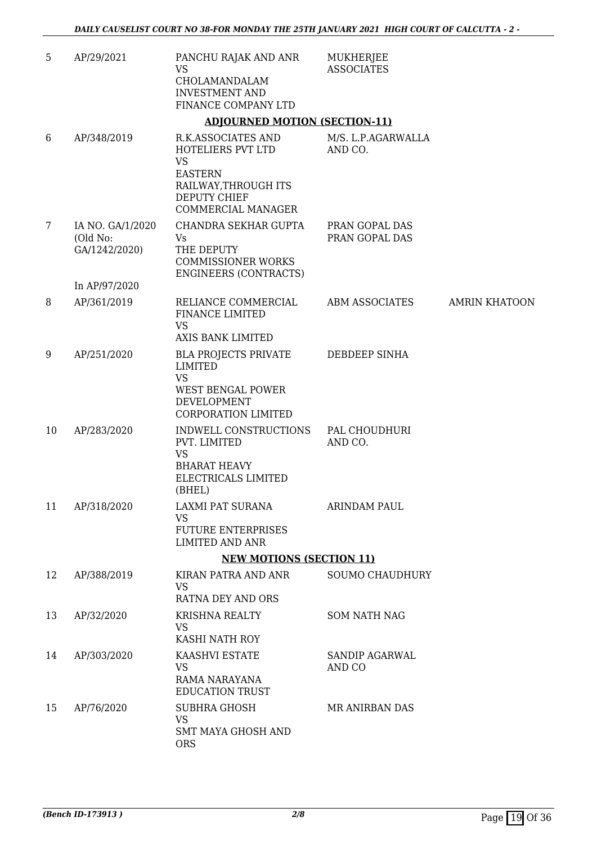| 5  | AP/29/2021                                    | PANCHU RAJAK AND ANR<br><b>VS</b>                                                                                                           | MUKHERJEE<br><b>ASSOCIATES</b>   |                      |
|----|-----------------------------------------------|---------------------------------------------------------------------------------------------------------------------------------------------|----------------------------------|----------------------|
|    |                                               | CHOLAMANDALAM<br><b>INVESTMENT AND</b>                                                                                                      |                                  |                      |
|    |                                               | FINANCE COMPANY LTD                                                                                                                         |                                  |                      |
|    |                                               | <b>ADJOURNED MOTION (SECTION-11)</b>                                                                                                        |                                  |                      |
| 6  | AP/348/2019                                   | R.K.ASSOCIATES AND<br>HOTELIERS PVT LTD<br><b>VS</b><br><b>EASTERN</b><br>RAILWAY, THROUGH ITS<br><b>DEPUTY CHIEF</b><br>COMMERCIAL MANAGER | M/S. L.P.AGARWALLA<br>AND CO.    |                      |
| 7  | IA NO. GA/1/2020<br>(Old No:<br>GA/1242/2020) | CHANDRA SEKHAR GUPTA<br>Vs<br>THE DEPUTY<br><b>COMMISSIONER WORKS</b><br><b>ENGINEERS (CONTRACTS)</b>                                       | PRAN GOPAL DAS<br>PRAN GOPAL DAS |                      |
|    | In AP/97/2020                                 |                                                                                                                                             |                                  |                      |
| 8  | AP/361/2019                                   | RELIANCE COMMERCIAL<br><b>FINANCE LIMITED</b><br><b>VS</b><br><b>AXIS BANK LIMITED</b>                                                      | ABM ASSOCIATES                   | <b>AMRIN KHATOON</b> |
| 9  | AP/251/2020                                   | <b>BLA PROJECTS PRIVATE</b><br><b>LIMITED</b><br><b>VS</b><br>WEST BENGAL POWER<br>DEVELOPMENT<br><b>CORPORATION LIMITED</b>                | DEBDEEP SINHA                    |                      |
| 10 | AP/283/2020                                   | INDWELL CONSTRUCTIONS<br>PVT. LIMITED<br><b>VS</b><br><b>BHARAT HEAVY</b><br>ELECTRICALS LIMITED<br>(BHEL)                                  | PAL CHOUDHURI<br>AND CO.         |                      |
| 11 | AP/318/2020                                   | LAXMI PAT SURANA<br><b>VS</b><br><b>FUTURE ENTERPRISES</b><br><b>LIMITED AND ANR</b>                                                        | ARINDAM PAUL                     |                      |
|    |                                               | <b>NEW MOTIONS (SECTION 11)</b>                                                                                                             |                                  |                      |
| 12 | AP/388/2019                                   | KIRAN PATRA AND ANR<br><b>VS</b><br>RATNA DEY AND ORS                                                                                       | <b>SOUMO CHAUDHURY</b>           |                      |
| 13 | AP/32/2020                                    | KRISHNA REALTY<br><b>VS</b><br>KASHI NATH ROY                                                                                               | <b>SOM NATH NAG</b>              |                      |
| 14 | AP/303/2020                                   | KAASHVI ESTATE<br><b>VS</b><br>RAMA NARAYANA<br><b>EDUCATION TRUST</b>                                                                      | <b>SANDIP AGARWAL</b><br>AND CO  |                      |
| 15 | AP/76/2020                                    | <b>SUBHRA GHOSH</b><br><b>VS</b><br><b>SMT MAYA GHOSH AND</b><br><b>ORS</b>                                                                 | <b>MR ANIRBAN DAS</b>            |                      |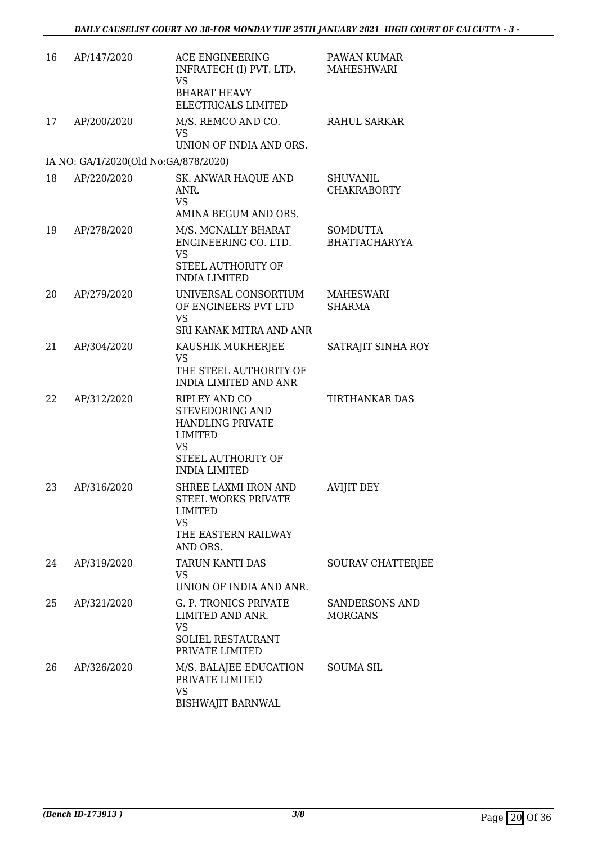| 16 | AP/147/2020                          | ACE ENGINEERING<br>INFRATECH (I) PVT. LTD.<br><b>VS</b><br><b>BHARAT HEAVY</b><br>ELECTRICALS LIMITED                                           | PAWAN KUMAR<br>MAHESHWARI               |
|----|--------------------------------------|-------------------------------------------------------------------------------------------------------------------------------------------------|-----------------------------------------|
| 17 | AP/200/2020                          | M/S. REMCO AND CO.<br><b>VS</b><br>UNION OF INDIA AND ORS.                                                                                      | <b>RAHUL SARKAR</b>                     |
|    | IA NO: GA/1/2020(Old No:GA/878/2020) |                                                                                                                                                 |                                         |
| 18 | AP/220/2020                          | <b>SK. ANWAR HAQUE AND</b><br>ANR.<br><b>VS</b><br>AMINA BEGUM AND ORS.                                                                         | <b>SHUVANIL</b><br><b>CHAKRABORTY</b>   |
| 19 | AP/278/2020                          | M/S. MCNALLY BHARAT<br>ENGINEERING CO. LTD.<br><b>VS</b><br>STEEL AUTHORITY OF<br><b>INDIA LIMITED</b>                                          | <b>SOMDUTTA</b><br><b>BHATTACHARYYA</b> |
| 20 | AP/279/2020                          | UNIVERSAL CONSORTIUM<br>OF ENGINEERS PVT LTD<br><b>VS</b><br>SRI KANAK MITRA AND ANR                                                            | MAHESWARI<br><b>SHARMA</b>              |
| 21 | AP/304/2020                          | KAUSHIK MUKHERJEE<br><b>VS</b><br>THE STEEL AUTHORITY OF<br><b>INDIA LIMITED AND ANR</b>                                                        | SATRAJIT SINHA ROY                      |
| 22 | AP/312/2020                          | <b>RIPLEY AND CO</b><br>STEVEDORING AND<br><b>HANDLING PRIVATE</b><br><b>LIMITED</b><br><b>VS</b><br>STEEL AUTHORITY OF<br><b>INDIA LIMITED</b> | <b>TIRTHANKAR DAS</b>                   |
| 23 | AP/316/2020                          | SHREE LAXMI IRON AND<br>STEEL WORKS PRIVATE<br>LIMITED<br><b>VS</b><br>THE EASTERN RAILWAY<br>AND ORS.                                          | <b>AVIJIT DEY</b>                       |
| 24 | AP/319/2020                          | TARUN KANTI DAS<br><b>VS</b><br>UNION OF INDIA AND ANR.                                                                                         | <b>SOURAV CHATTERJEE</b>                |
| 25 | AP/321/2020                          | G. P. TRONICS PRIVATE<br>LIMITED AND ANR.<br><b>VS</b><br><b>SOLIEL RESTAURANT</b><br>PRIVATE LIMITED                                           | <b>SANDERSONS AND</b><br><b>MORGANS</b> |
| 26 | AP/326/2020                          | M/S. BALAJEE EDUCATION<br>PRIVATE LIMITED<br><b>VS</b><br><b>BISHWAJIT BARNWAL</b>                                                              | <b>SOUMA SIL</b>                        |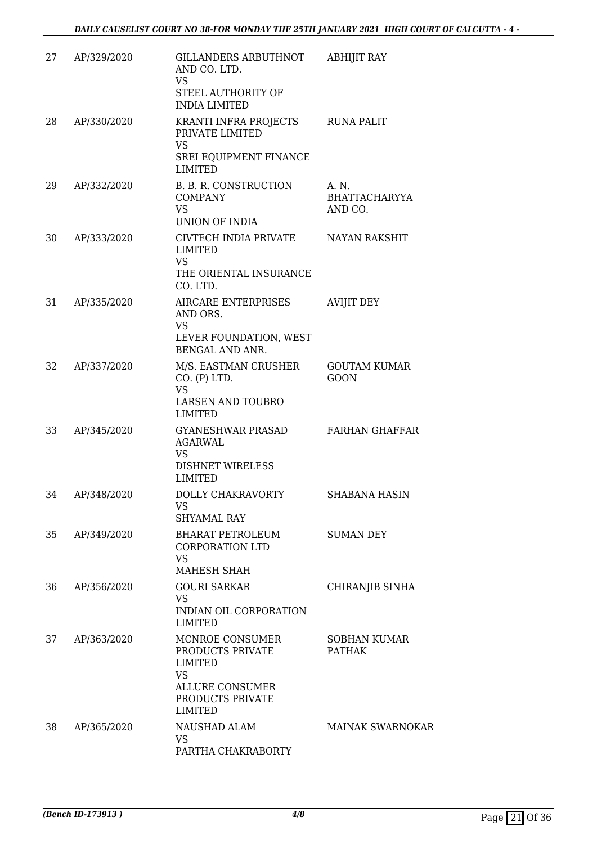| 27 | AP/329/2020 | <b>GILLANDERS ARBUTHNOT</b><br>AND CO. LTD.<br><b>VS</b><br>STEEL AUTHORITY OF<br><b>INDIA LIMITED</b>                      | <b>ABHIJIT RAY</b>                       |
|----|-------------|-----------------------------------------------------------------------------------------------------------------------------|------------------------------------------|
| 28 | AP/330/2020 | KRANTI INFRA PROJECTS<br>PRIVATE LIMITED<br><b>VS</b><br>SREI EQUIPMENT FINANCE<br><b>LIMITED</b>                           | <b>RUNA PALIT</b>                        |
| 29 | AP/332/2020 | B. B. R. CONSTRUCTION<br><b>COMPANY</b><br><b>VS</b><br><b>UNION OF INDIA</b>                                               | A. N.<br><b>BHATTACHARYYA</b><br>AND CO. |
| 30 | AP/333/2020 | CIVTECH INDIA PRIVATE<br>LIMITED<br><b>VS</b><br>THE ORIENTAL INSURANCE<br>CO. LTD.                                         | <b>NAYAN RAKSHIT</b>                     |
| 31 | AP/335/2020 | AIRCARE ENTERPRISES<br>AND ORS.<br><b>VS</b><br>LEVER FOUNDATION, WEST<br><b>BENGAL AND ANR.</b>                            | <b>AVIJIT DEY</b>                        |
| 32 | AP/337/2020 | M/S. EASTMAN CRUSHER<br>CO. (P) LTD.<br><b>VS</b><br><b>LARSEN AND TOUBRO</b><br><b>LIMITED</b>                             | <b>GOUTAM KUMAR</b><br><b>GOON</b>       |
| 33 | AP/345/2020 | <b>GYANESHWAR PRASAD</b><br><b>AGARWAL</b><br><b>VS</b><br><b>DISHNET WIRELESS</b><br><b>LIMITED</b>                        | <b>FARHAN GHAFFAR</b>                    |
| 34 | AP/348/2020 | DOLLY CHAKRAVORTY<br>VS<br>SHYAMAL RAY                                                                                      | <b>SHABANA HASIN</b>                     |
| 35 | AP/349/2020 | <b>BHARAT PETROLEUM</b><br><b>CORPORATION LTD</b><br><b>VS</b><br>MAHESH SHAH                                               | <b>SUMAN DEY</b>                         |
| 36 | AP/356/2020 | <b>GOURI SARKAR</b><br><b>VS</b><br>INDIAN OIL CORPORATION<br><b>LIMITED</b>                                                | CHIRANJIB SINHA                          |
| 37 | AP/363/2020 | MCNROE CONSUMER<br>PRODUCTS PRIVATE<br><b>LIMITED</b><br><b>VS</b><br>ALLURE CONSUMER<br>PRODUCTS PRIVATE<br><b>LIMITED</b> | <b>SOBHAN KUMAR</b><br><b>PATHAK</b>     |
| 38 | AP/365/2020 | NAUSHAD ALAM<br>VS<br>PARTHA CHAKRABORTY                                                                                    | <b>MAINAK SWARNOKAR</b>                  |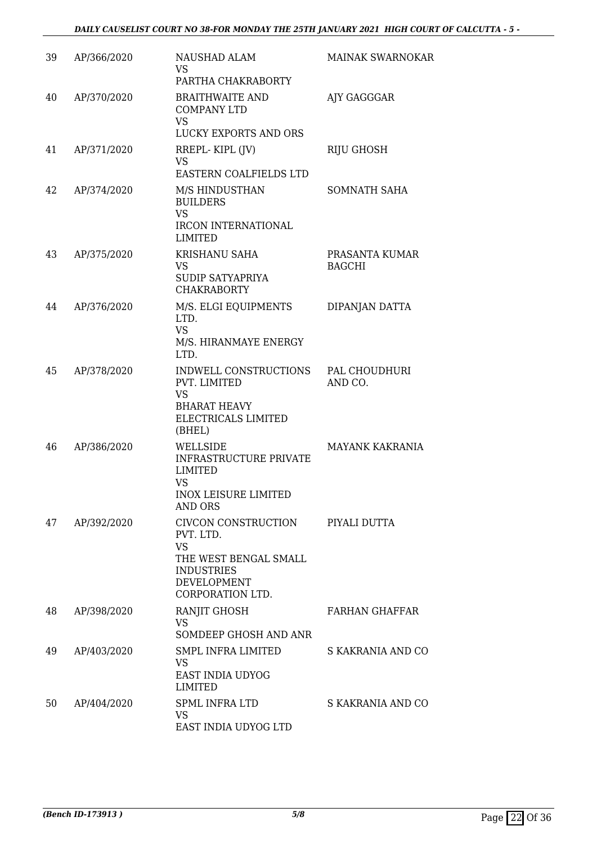| 39 | AP/366/2020 | NAUSHAD ALAM                                                                                                                          | <b>MAINAK SWARNOKAR</b>         |
|----|-------------|---------------------------------------------------------------------------------------------------------------------------------------|---------------------------------|
|    |             | VS.<br>PARTHA CHAKRABORTY                                                                                                             |                                 |
| 40 | AP/370/2020 | <b>BRAITHWAITE AND</b><br><b>COMPANY LTD</b><br><b>VS</b><br>LUCKY EXPORTS AND ORS                                                    | AJY GAGGGAR                     |
| 41 | AP/371/2020 | RREPL-KIPL (JV)<br><b>VS</b><br><b>EASTERN COALFIELDS LTD</b>                                                                         | RIJU GHOSH                      |
| 42 | AP/374/2020 | M/S HINDUSTHAN<br><b>BUILDERS</b><br><b>VS</b><br>IRCON INTERNATIONAL<br><b>LIMITED</b>                                               | SOMNATH SAHA                    |
| 43 | AP/375/2020 | KRISHANU SAHA<br><b>VS</b><br>SUDIP SATYAPRIYA<br><b>CHAKRABORTY</b>                                                                  | PRASANTA KUMAR<br><b>BAGCHI</b> |
| 44 | AP/376/2020 | M/S. ELGI EQUIPMENTS<br>LTD.<br><b>VS</b><br>M/S. HIRANMAYE ENERGY<br>LTD.                                                            | DIPANJAN DATTA                  |
| 45 | AP/378/2020 | INDWELL CONSTRUCTIONS<br>PVT. LIMITED<br><b>VS</b><br><b>BHARAT HEAVY</b><br>ELECTRICALS LIMITED<br>(BHEL)                            | PAL CHOUDHURI<br>AND CO.        |
| 46 | AP/386/2020 | WELLSIDE<br><b>INFRASTRUCTURE PRIVATE</b><br><b>LIMITED</b><br><b>VS</b><br><b>INOX LEISURE LIMITED</b><br><b>AND ORS</b>             | MAYANK KAKRANIA                 |
| 47 | AP/392/2020 | CIVCON CONSTRUCTION<br>PVT. LTD.<br><b>VS</b><br>THE WEST BENGAL SMALL<br><b>INDUSTRIES</b><br><b>DEVELOPMENT</b><br>CORPORATION LTD. | PIYALI DUTTA                    |
| 48 | AP/398/2020 | RANJIT GHOSH<br><b>VS</b><br>SOMDEEP GHOSH AND ANR                                                                                    | FARHAN GHAFFAR                  |
| 49 | AP/403/2020 | SMPL INFRA LIMITED<br>VS.<br>EAST INDIA UDYOG<br><b>LIMITED</b>                                                                       | S KAKRANIA AND CO               |
| 50 | AP/404/2020 | <b>SPML INFRA LTD</b><br><b>VS</b><br>EAST INDIA UDYOG LTD                                                                            | S KAKRANIA AND CO               |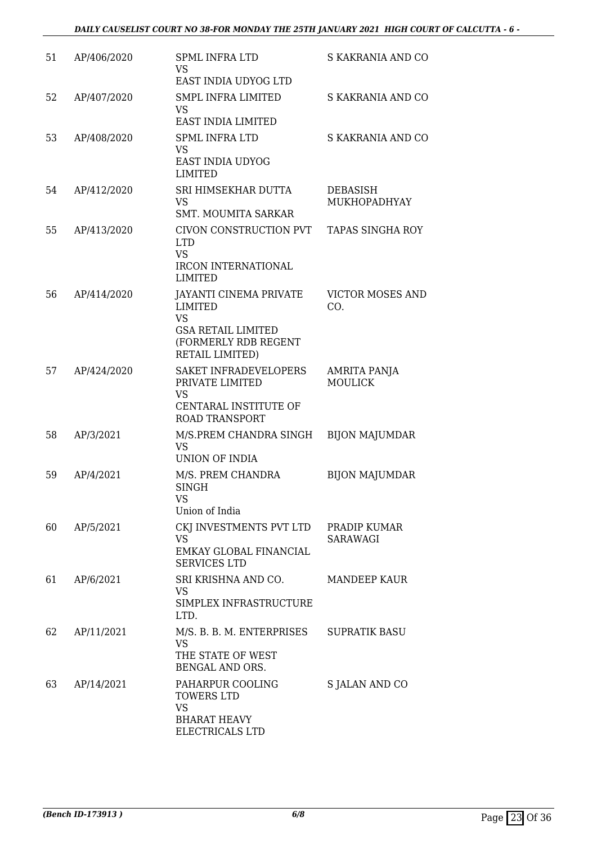| 51 | AP/406/2020 | <b>SPML INFRA LTD</b><br><b>VS</b><br>EAST INDIA UDYOG LTD                                                                    | S KAKRANIA AND CO               |
|----|-------------|-------------------------------------------------------------------------------------------------------------------------------|---------------------------------|
| 52 | AP/407/2020 | <b>SMPL INFRA LIMITED</b><br><b>VS</b><br>EAST INDIA LIMITED                                                                  | S KAKRANIA AND CO               |
| 53 | AP/408/2020 | <b>SPML INFRA LTD</b><br>VS<br>EAST INDIA UDYOG<br><b>LIMITED</b>                                                             | S KAKRANIA AND CO               |
| 54 | AP/412/2020 | SRI HIMSEKHAR DUTTA<br><b>VS</b><br><b>SMT. MOUMITA SARKAR</b>                                                                | <b>DEBASISH</b><br>MUKHOPADHYAY |
| 55 | AP/413/2020 | CIVON CONSTRUCTION PVT<br><b>LTD</b><br><b>VS</b><br><b>IRCON INTERNATIONAL</b><br><b>LIMITED</b>                             | <b>TAPAS SINGHA ROY</b>         |
| 56 | AP/414/2020 | <b>JAYANTI CINEMA PRIVATE</b><br>LIMITED<br><b>VS</b><br><b>GSA RETAIL LIMITED</b><br>(FORMERLY RDB REGENT<br>RETAIL LIMITED) | <b>VICTOR MOSES AND</b><br>CO.  |
| 57 | AP/424/2020 | SAKET INFRADEVELOPERS<br>PRIVATE LIMITED<br>VS<br>CENTARAL INSTITUTE OF<br><b>ROAD TRANSPORT</b>                              | AMRITA PANJA<br><b>MOULICK</b>  |
| 58 | AP/3/2021   | M/S.PREM CHANDRA SINGH<br><b>VS</b><br>UNION OF INDIA                                                                         | <b>BIJON MAJUMDAR</b>           |
| 59 | AP/4/2021   | M/S. PREM CHANDRA<br><b>SINGH</b><br>VS<br>Union of India                                                                     | <b>BIJON MAJUMDAR</b>           |
| 60 | AP/5/2021   | CKJ INVESTMENTS PVT LTD<br><b>VS</b><br>EMKAY GLOBAL FINANCIAL<br><b>SERVICES LTD</b>                                         | PRADIP KUMAR<br><b>SARAWAGI</b> |
| 61 | AP/6/2021   | SRI KRISHNA AND CO.<br>VS<br>SIMPLEX INFRASTRUCTURE<br>LTD.                                                                   | <b>MANDEEP KAUR</b>             |
| 62 | AP/11/2021  | M/S. B. B. M. ENTERPRISES<br><b>VS</b><br>THE STATE OF WEST<br>BENGAL AND ORS.                                                | <b>SUPRATIK BASU</b>            |
| 63 | AP/14/2021  | PAHARPUR COOLING<br><b>TOWERS LTD</b><br><b>VS</b><br><b>BHARAT HEAVY</b><br>ELECTRICALS LTD                                  | <b>S JALAN AND CO</b>           |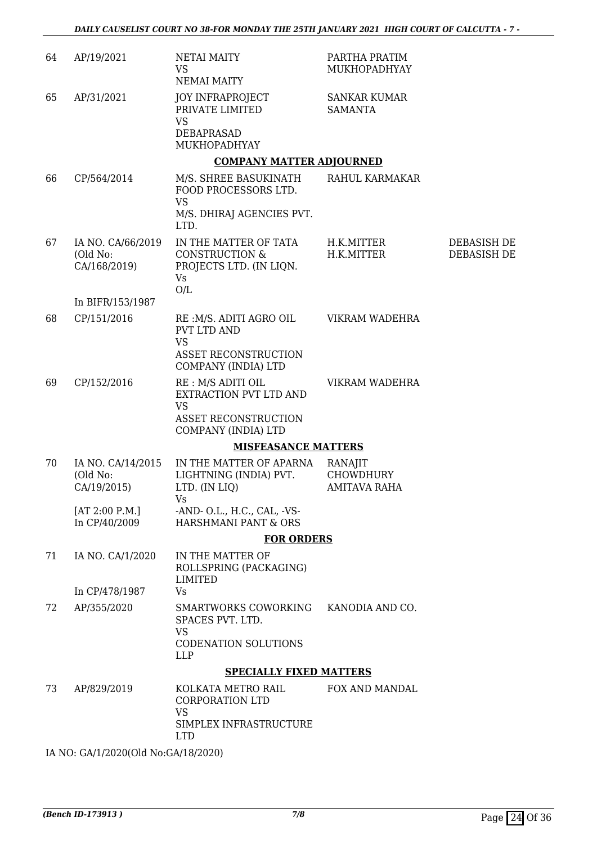| 64 | AP/19/2021                                    | <b>NETAI MAITY</b><br><b>VS</b><br><b>NEMAI MAITY</b>                                                                                                                                                                                                                                                | PARTHA PRATIM<br>MUKHOPADHYAY                      |                            |
|----|-----------------------------------------------|------------------------------------------------------------------------------------------------------------------------------------------------------------------------------------------------------------------------------------------------------------------------------------------------------|----------------------------------------------------|----------------------------|
| 65 | AP/31/2021                                    | <b>JOY INFRAPROJECT</b><br>PRIVATE LIMITED<br><b>VS</b><br>DEBAPRASAD                                                                                                                                                                                                                                | <b>SANKAR KUMAR</b><br><b>SAMANTA</b>              |                            |
|    |                                               | MUKHOPADHYAY                                                                                                                                                                                                                                                                                         |                                                    |                            |
|    |                                               | <b>COMPANY MATTER ADJOURNED</b>                                                                                                                                                                                                                                                                      |                                                    |                            |
| 66 | CP/564/2014                                   | M/S. SHREE BASUKINATH<br>FOOD PROCESSORS LTD.<br><b>VS</b><br>M/S. DHIRAJ AGENCIES PVT.<br>LTD.                                                                                                                                                                                                      | RAHUL KARMAKAR                                     |                            |
| 67 | IA NO. CA/66/2019<br>(Old No:<br>CA/168/2019) | IN THE MATTER OF TATA<br><b>CONSTRUCTION &amp;</b><br>PROJECTS LTD. (IN LIQN.<br><b>Vs</b><br>O/L                                                                                                                                                                                                    | H.K.MITTER<br>H.K.MITTER                           | DEBASISH DE<br>DEBASISH DE |
|    | In BIFR/153/1987                              |                                                                                                                                                                                                                                                                                                      |                                                    |                            |
| 68 | CP/151/2016                                   | RE: M/S. ADITI AGRO OIL<br><b>PVT LTD AND</b><br><b>VS</b>                                                                                                                                                                                                                                           | VIKRAM WADEHRA                                     |                            |
|    |                                               | <b>ASSET RECONSTRUCTION</b><br>COMPANY (INDIA) LTD                                                                                                                                                                                                                                                   |                                                    |                            |
| 69 | CP/152/2016                                   | RE : M/S ADITI OIL<br>EXTRACTION PVT LTD AND<br><b>VS</b><br><b>ASSET RECONSTRUCTION</b><br>COMPANY (INDIA) LTD                                                                                                                                                                                      | VIKRAM WADEHRA                                     |                            |
|    |                                               | <b>MISFEASANCE MATTERS</b>                                                                                                                                                                                                                                                                           |                                                    |                            |
| 70 | IA NO. CA/14/2015<br>(Old No:<br>CA/19/2015)  | IN THE MATTER OF APARNA<br>LIGHTNING (INDIA) PVT.<br>LTD. (IN LIQ)<br>Vs and the Vs of the Vs of the Vs of the Vs of the Vs of the Vs of the Vs of the Vs of the Vs of the Vs of the Vs of the Vs of the Vs of the Vs of the Vs of the Vs of the Vs of the Vs of the Vs of the Vs of the Vs of the V | RANAJIT<br><b>CHOWDHURY</b><br><b>AMITAVA RAHA</b> |                            |
|    | [AT 2:00 P.M.]<br>In CP/40/2009               | -AND- O.L., H.C., CAL, -VS-<br>HARSHMANI PANT & ORS                                                                                                                                                                                                                                                  |                                                    |                            |
|    |                                               | <b>FOR ORDERS</b>                                                                                                                                                                                                                                                                                    |                                                    |                            |
| 71 | IA NO. CA/1/2020                              | IN THE MATTER OF<br>ROLLSPRING (PACKAGING)<br>LIMITED                                                                                                                                                                                                                                                |                                                    |                            |
|    | In CP/478/1987                                | Vs                                                                                                                                                                                                                                                                                                   |                                                    |                            |
| 72 | AP/355/2020                                   | SMARTWORKS COWORKING<br>SPACES PVT. LTD.<br><b>VS</b>                                                                                                                                                                                                                                                | KANODIA AND CO.                                    |                            |
|    |                                               | CODENATION SOLUTIONS<br><b>LLP</b>                                                                                                                                                                                                                                                                   |                                                    |                            |
|    |                                               | <b>SPECIALLY FIXED MATTERS</b>                                                                                                                                                                                                                                                                       |                                                    |                            |
| 73 | AP/829/2019                                   | KOLKATA METRO RAIL<br>CORPORATION LTD<br>VS                                                                                                                                                                                                                                                          | FOX AND MANDAL                                     |                            |
|    |                                               | SIMPLEX INFRASTRUCTURE<br><b>LTD</b>                                                                                                                                                                                                                                                                 |                                                    |                            |

IA NO: GA/1/2020(Old No:GA/18/2020)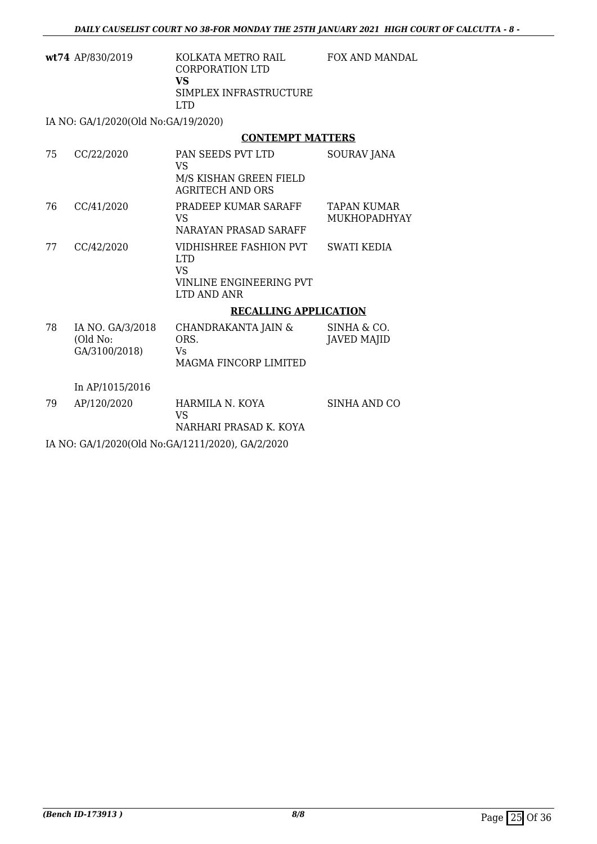FOX AND MANDAL

| wt74 AP/830/2019 | KOLKATA METRO RAIL<br>CORPORATION LTD |
|------------------|---------------------------------------|
|                  | VS<br>SIMPLEX INFRASTRUCTURE<br>LTD.  |
|                  |                                       |

IA NO: GA/1/2020(Old No:GA/19/2020)

### **CONTEMPT MATTERS**

| 75 | CC/22/2020                                    | <b>PAN SEEDS PVT LTD</b><br>VS<br>M/S KISHAN GREEN FIELD<br><b>AGRITECH AND ORS</b>   | <b>SOURAV JANA</b>                 |
|----|-----------------------------------------------|---------------------------------------------------------------------------------------|------------------------------------|
| 76 | CC/41/2020                                    | PRADEEP KUMAR SARAFF<br>VS.<br>NARAYAN PRASAD SARAFF                                  | TAPAN KUMAR<br><b>MUKHOPADHYAY</b> |
| 77 | CC/42/2020                                    | VIDHISHREE FASHION PVT<br><b>LTD</b><br>VS.<br>VINLINE ENGINEERING PVT<br>LTD AND ANR | <b>SWATI KEDIA</b>                 |
|    |                                               | <b>RECALLING APPLICATION</b>                                                          |                                    |
| 78 | IA NO. GA/3/2018<br>(Old No:<br>GA/3100/2018) | CHANDRAKANTA JAIN &<br>ORS.<br>Vs<br>MAGMA FINCORP LIMITED                            | SINHA & CO.<br><b>JAVED MAJID</b>  |
|    | In AP/1015/2016                               |                                                                                       |                                    |
| 79 | AP/120/2020                                   | HARMILA N. KOYA<br>VS<br>NARHARI PRASAD K. KOYA                                       | SINHA AND CO                       |

IA NO: GA/1/2020(Old No:GA/1211/2020), GA/2/2020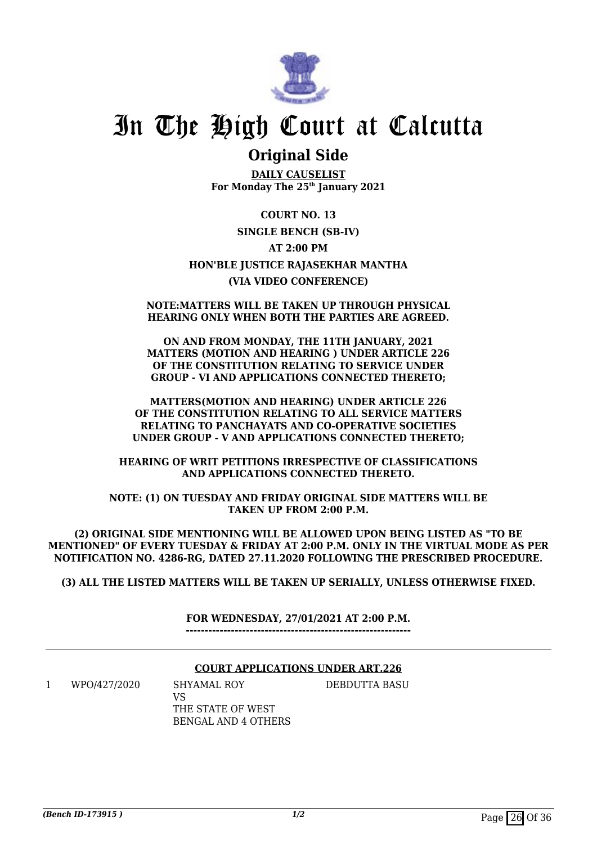

### **Original Side**

**DAILY CAUSELIST For Monday The 25th January 2021**

**COURT NO. 13 SINGLE BENCH (SB-IV) AT 2:00 PM HON'BLE JUSTICE RAJASEKHAR MANTHA (VIA VIDEO CONFERENCE)**

### **NOTE:MATTERS WILL BE TAKEN UP THROUGH PHYSICAL HEARING ONLY WHEN BOTH THE PARTIES ARE AGREED.**

**ON AND FROM MONDAY, THE 11TH JANUARY, 2021 MATTERS (MOTION AND HEARING ) UNDER ARTICLE 226 OF THE CONSTITUTION RELATING TO SERVICE UNDER GROUP - VI AND APPLICATIONS CONNECTED THERETO;**

**MATTERS(MOTION AND HEARING) UNDER ARTICLE 226 OF THE CONSTITUTION RELATING TO ALL SERVICE MATTERS RELATING TO PANCHAYATS AND CO-OPERATIVE SOCIETIES UNDER GROUP - V AND APPLICATIONS CONNECTED THERETO;**

**HEARING OF WRIT PETITIONS IRRESPECTIVE OF CLASSIFICATIONS AND APPLICATIONS CONNECTED THERETO.**

**NOTE: (1) ON TUESDAY AND FRIDAY ORIGINAL SIDE MATTERS WILL BE TAKEN UP FROM 2:00 P.M.**

**(2) ORIGINAL SIDE MENTIONING WILL BE ALLOWED UPON BEING LISTED AS "TO BE MENTIONED" OF EVERY TUESDAY & FRIDAY AT 2:00 P.M. ONLY IN THE VIRTUAL MODE AS PER NOTIFICATION NO. 4286-RG, DATED 27.11.2020 FOLLOWING THE PRESCRIBED PROCEDURE.**

**(3) ALL THE LISTED MATTERS WILL BE TAKEN UP SERIALLY, UNLESS OTHERWISE FIXED.**

**FOR WEDNESDAY, 27/01/2021 AT 2:00 P.M. ------------------------------------------------------------**

### **COURT APPLICATIONS UNDER ART.226**

1 WPO/427/2020 SHYAMAL ROY

DEBDUTTA BASU

VS THE STATE OF WEST BENGAL AND 4 OTHERS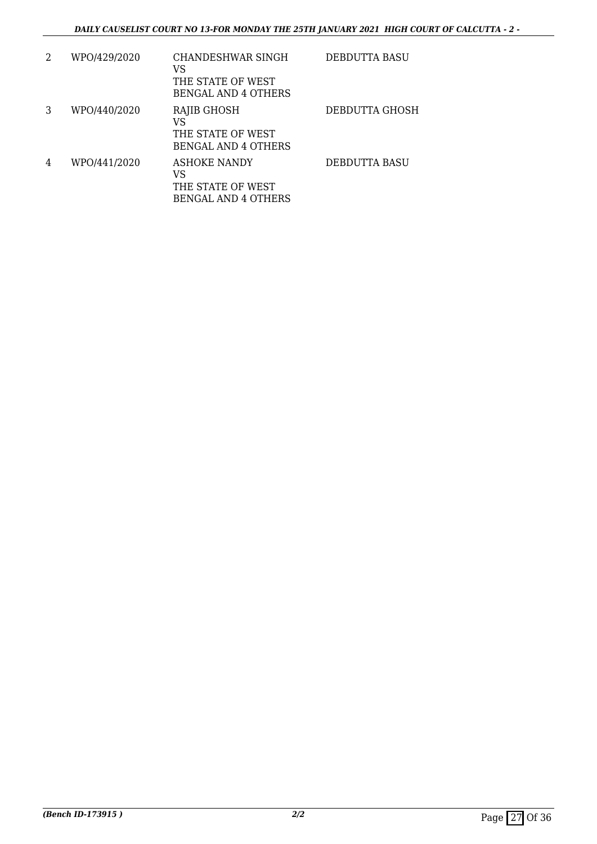| 2 | WPO/429/2020 | CHANDESHWAR SINGH<br>VS<br>THE STATE OF WEST<br><b>BENGAL AND 4 OTHERS</b> | <b>DEBDUTTA BASU</b>  |
|---|--------------|----------------------------------------------------------------------------|-----------------------|
| 3 | WPO/440/2020 | RAJIB GHOSH<br>VS<br>THE STATE OF WEST<br><b>BENGAL AND 4 OTHERS</b>       | <b>DEBDUTTA GHOSH</b> |
| 4 | WPO/441/2020 | ASHOKE NANDY<br>VS<br>THE STATE OF WEST<br><b>BENGAL AND 4 OTHERS</b>      | DEBDUTTA BASU         |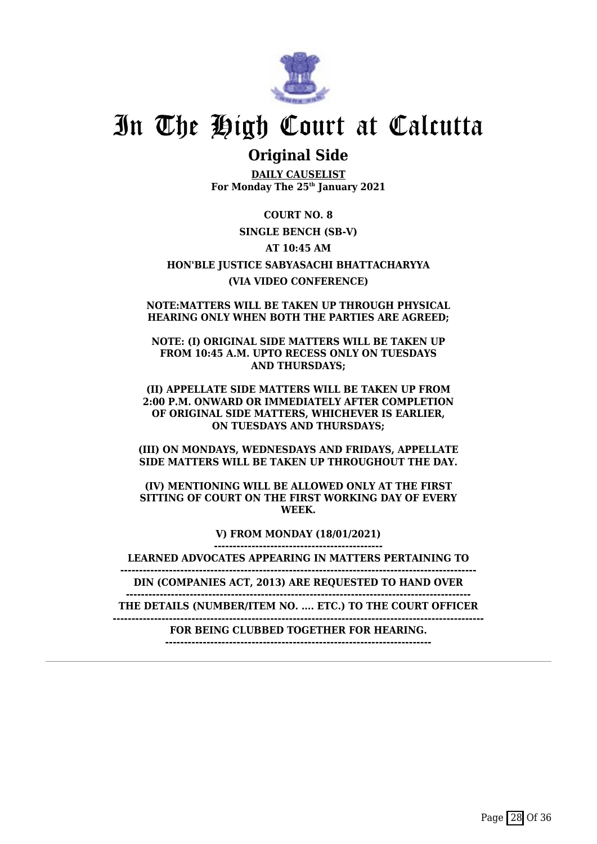

### **Original Side**

**DAILY CAUSELIST For Monday The 25th January 2021**

**COURT NO. 8 SINGLE BENCH (SB-V) AT 10:45 AM HON'BLE JUSTICE SABYASACHI BHATTACHARYYA (VIA VIDEO CONFERENCE)**

**NOTE:MATTERS WILL BE TAKEN UP THROUGH PHYSICAL HEARING ONLY WHEN BOTH THE PARTIES ARE AGREED;**

**NOTE: (I) ORIGINAL SIDE MATTERS WILL BE TAKEN UP FROM 10:45 A.M. UPTO RECESS ONLY ON TUESDAYS AND THURSDAYS;**

**(II) APPELLATE SIDE MATTERS WILL BE TAKEN UP FROM 2:00 P.M. ONWARD OR IMMEDIATELY AFTER COMPLETION OF ORIGINAL SIDE MATTERS, WHICHEVER IS EARLIER, ON TUESDAYS AND THURSDAYS;**

**(III) ON MONDAYS, WEDNESDAYS AND FRIDAYS, APPELLATE SIDE MATTERS WILL BE TAKEN UP THROUGHOUT THE DAY.**

**(IV) MENTIONING WILL BE ALLOWED ONLY AT THE FIRST SITTING OF COURT ON THE FIRST WORKING DAY OF EVERY WEEK.**

> **V) FROM MONDAY (18/01/2021) ---------------------------------------------**

**LEARNED ADVOCATES APPEARING IN MATTERS PERTAINING TO**

**-----------------------------------------------------------------------------------------------**

**DIN (COMPANIES ACT, 2013) ARE REQUESTED TO HAND OVER --------------------------------------------------------------------------------------------**

**THE DETAILS (NUMBER/ITEM NO. .... ETC.) TO THE COURT OFFICER**

**---------------------------------------------------------------------------------------------------**

**FOR BEING CLUBBED TOGETHER FOR HEARING. -----------------------------------------------------------------------**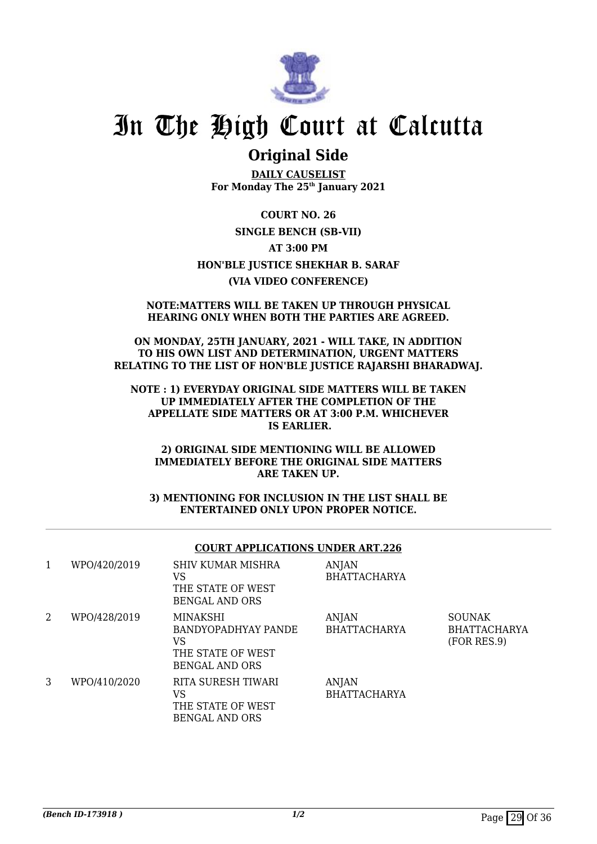

### **Original Side**

**DAILY CAUSELIST For Monday The 25th January 2021**

**COURT NO. 26 SINGLE BENCH (SB-VII) AT 3:00 PM HON'BLE JUSTICE SHEKHAR B. SARAF (VIA VIDEO CONFERENCE)**

### **NOTE:MATTERS WILL BE TAKEN UP THROUGH PHYSICAL HEARING ONLY WHEN BOTH THE PARTIES ARE AGREED.**

**ON MONDAY, 25TH JANUARY, 2021 - WILL TAKE, IN ADDITION TO HIS OWN LIST AND DETERMINATION, URGENT MATTERS RELATING TO THE LIST OF HON'BLE JUSTICE RAJARSHI BHARADWAJ.**

**NOTE : 1) EVERYDAY ORIGINAL SIDE MATTERS WILL BE TAKEN UP IMMEDIATELY AFTER THE COMPLETION OF THE APPELLATE SIDE MATTERS OR AT 3:00 P.M. WHICHEVER IS EARLIER.**

**2) ORIGINAL SIDE MENTIONING WILL BE ALLOWED IMMEDIATELY BEFORE THE ORIGINAL SIDE MATTERS ARE TAKEN UP.**

**3) MENTIONING FOR INCLUSION IN THE LIST SHALL BE ENTERTAINED ONLY UPON PROPER NOTICE.**

#### **COURT APPLICATIONS UNDER ART.226** 1 WPO/420/2019 SHIV KUMAR MISHRA ANJAN

| л. | $III \cup I = U / U U$ | <u>9111 - Konara Musica</u><br>VS<br>THE STATE OF WEST<br>BENGAL AND ORS     | $\mathbf{L}$<br><b>BHATTACHARYA</b> |                                              |
|----|------------------------|------------------------------------------------------------------------------|-------------------------------------|----------------------------------------------|
| 2  | WPO/428/2019           | MINAKSHI<br>BANDYOPADHYAY PANDE<br>VS<br>THE STATE OF WEST<br>BENGAL AND ORS | <b>ANJAN</b><br><b>BHATTACHARYA</b> | <b>SOUNAK</b><br>BHATTACHARYA<br>(FOR RES.9) |
| 3  | WPO/410/2020           | RITA SURESH TIWARI<br>VS<br>THE STATE OF WEST<br><b>BENGAL AND ORS</b>       | <b>ANJAN</b><br><b>BHATTACHARYA</b> |                                              |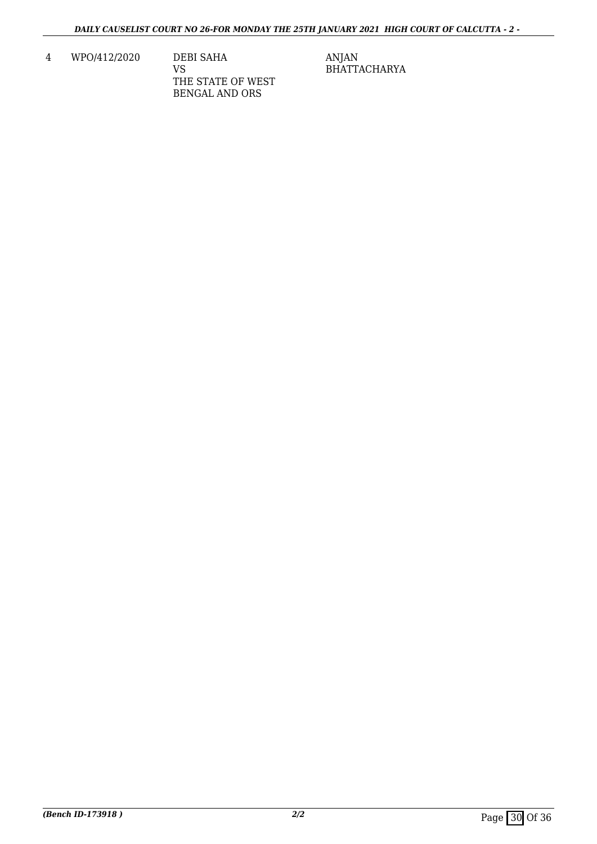4 WPO/412/2020 DEBI SAHA

VS THE STATE OF WEST BENGAL AND ORS

ANJAN BHATTACHARYA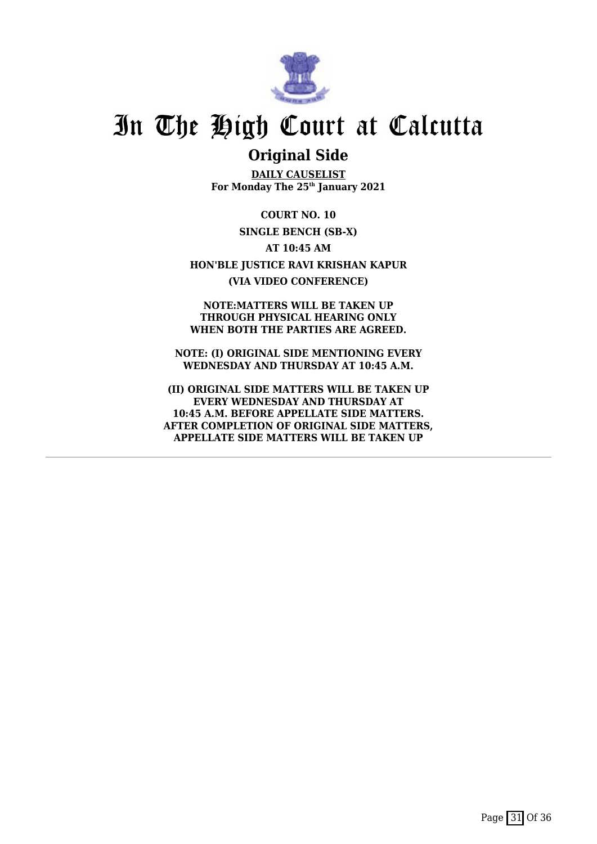

### **Original Side**

**DAILY CAUSELIST For Monday The 25th January 2021**

**COURT NO. 10 SINGLE BENCH (SB-X) AT 10:45 AM HON'BLE JUSTICE RAVI KRISHAN KAPUR (VIA VIDEO CONFERENCE)**

**NOTE:MATTERS WILL BE TAKEN UP THROUGH PHYSICAL HEARING ONLY WHEN BOTH THE PARTIES ARE AGREED.**

**NOTE: (I) ORIGINAL SIDE MENTIONING EVERY WEDNESDAY AND THURSDAY AT 10:45 A.M.**

**(II) ORIGINAL SIDE MATTERS WILL BE TAKEN UP EVERY WEDNESDAY AND THURSDAY AT 10:45 A.M. BEFORE APPELLATE SIDE MATTERS. AFTER COMPLETION OF ORIGINAL SIDE MATTERS, APPELLATE SIDE MATTERS WILL BE TAKEN UP**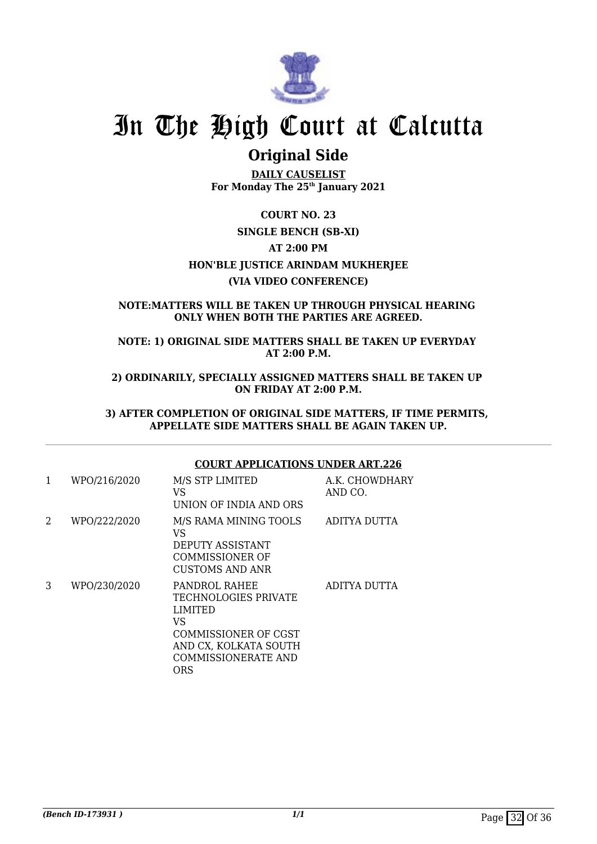

## **Original Side**

**DAILY CAUSELIST For Monday The 25th January 2021**

### **COURT NO. 23 SINGLE BENCH (SB-XI) AT 2:00 PM HON'BLE JUSTICE ARINDAM MUKHERJEE (VIA VIDEO CONFERENCE)**

### **NOTE:MATTERS WILL BE TAKEN UP THROUGH PHYSICAL HEARING ONLY WHEN BOTH THE PARTIES ARE AGREED.**

**NOTE: 1) ORIGINAL SIDE MATTERS SHALL BE TAKEN UP EVERYDAY AT 2:00 P.M.**

**2) ORDINARILY, SPECIALLY ASSIGNED MATTERS SHALL BE TAKEN UP ON FRIDAY AT 2:00 P.M.**

**3) AFTER COMPLETION OF ORIGINAL SIDE MATTERS, IF TIME PERMITS, APPELLATE SIDE MATTERS SHALL BE AGAIN TAKEN UP.**

### **COURT APPLICATIONS UNDER ART.226**

| 1 | WPO/216/2020 | M/S STP LIMITED<br>VS<br>UNION OF INDIA AND ORS                                                                                                     | A.K. CHOWDHARY<br>AND CO. |
|---|--------------|-----------------------------------------------------------------------------------------------------------------------------------------------------|---------------------------|
| 2 | WPO/222/2020 | M/S RAMA MINING TOOLS<br>VS<br>DEPUTY ASSISTANT<br>COMMISSIONER OF<br>CUSTOMS AND ANR                                                               | ADITYA DUTTA              |
| 3 | WPO/230/2020 | PANDROL RAHEE<br>TECHNOLOGIES PRIVATE<br><b>LIMITED</b><br><b>VS</b><br>COMMISSIONER OF CGST<br>AND CX, KOLKATA SOUTH<br>COMMISSIONERATE AND<br>ORS | ADITYA DUTTA              |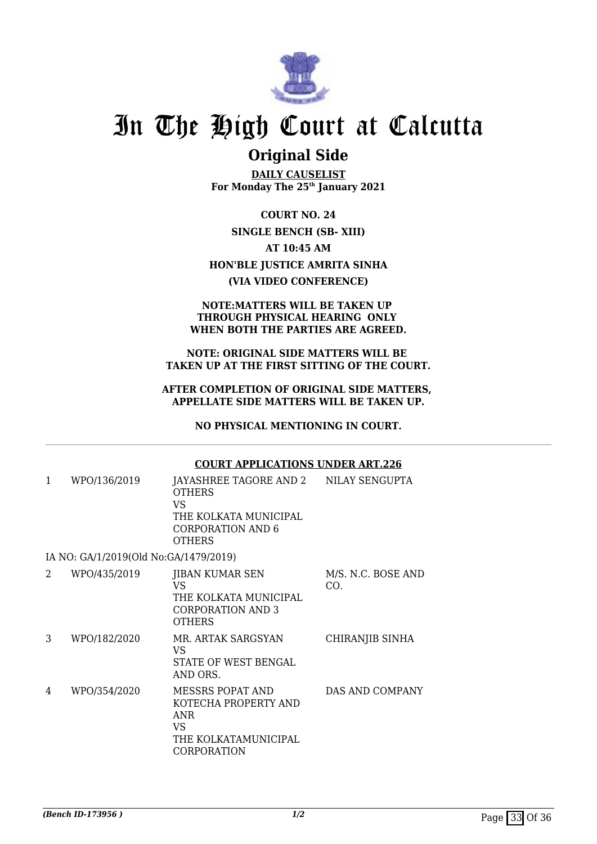

### **Original Side**

**DAILY CAUSELIST For Monday The 25th January 2021**

**COURT NO. 24 SINGLE BENCH (SB- XIII) AT 10:45 AM HON'BLE JUSTICE AMRITA SINHA (VIA VIDEO CONFERENCE)**

#### **NOTE:MATTERS WILL BE TAKEN UP THROUGH PHYSICAL HEARING ONLY WHEN BOTH THE PARTIES ARE AGREED.**

#### **NOTE: ORIGINAL SIDE MATTERS WILL BE TAKEN UP AT THE FIRST SITTING OF THE COURT.**

### **AFTER COMPLETION OF ORIGINAL SIDE MATTERS, APPELLATE SIDE MATTERS WILL BE TAKEN UP.**

**NO PHYSICAL MENTIONING IN COURT.**

#### **COURT APPLICATIONS UNDER ART.226** 1 WPO/136/2019 JAYASHREE TAGORE AND 2 **OTHERS** VS THE KOLKATA MUNICIPAL CORPORATION AND 6 **OTHERS** NILAY SENGUPTA IA NO: GA/1/2019(Old No:GA/1479/2019) 2 WPO/435/2019 IIBAN KUMAR SEN VS THE KOLKATA MUNICIPAL CORPORATION AND 3 **OTHERS** M/S. N.C. BOSE AND CO. 3 WPO/182/2020 MR. ARTAK SARGSYAN VS STATE OF WEST BENGAL AND ORS. CHIRANJIB SINHA 4 WPO/354/2020 MESSRS POPAT AND KOTECHA PROPERTY AND ANR VS THE KOLKATAMUNICIPAL CORPORATION DAS AND COMPANY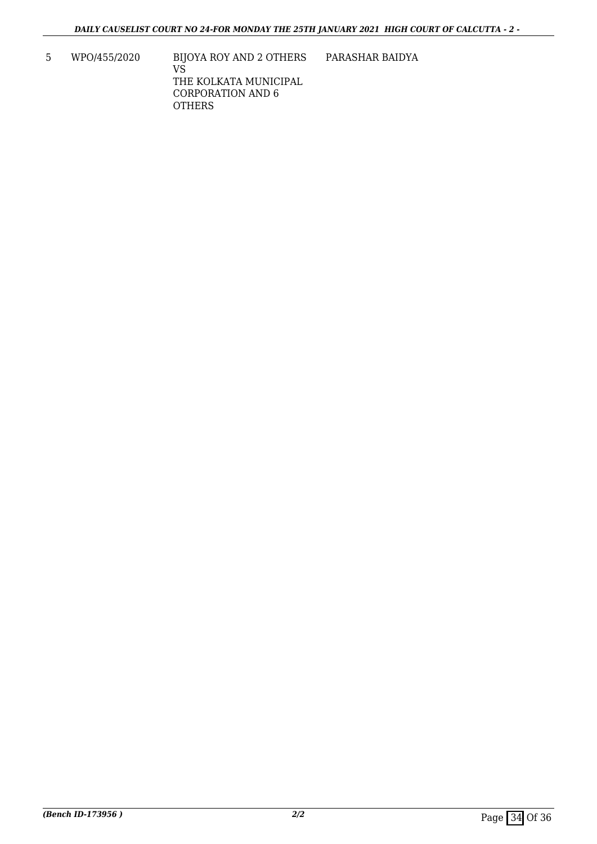5 WPO/455/2020 BIJOYA ROY AND 2 OTHERS VS THE KOLKATA MUNICIPAL CORPORATION AND 6 **OTHERS** PARASHAR BAIDYA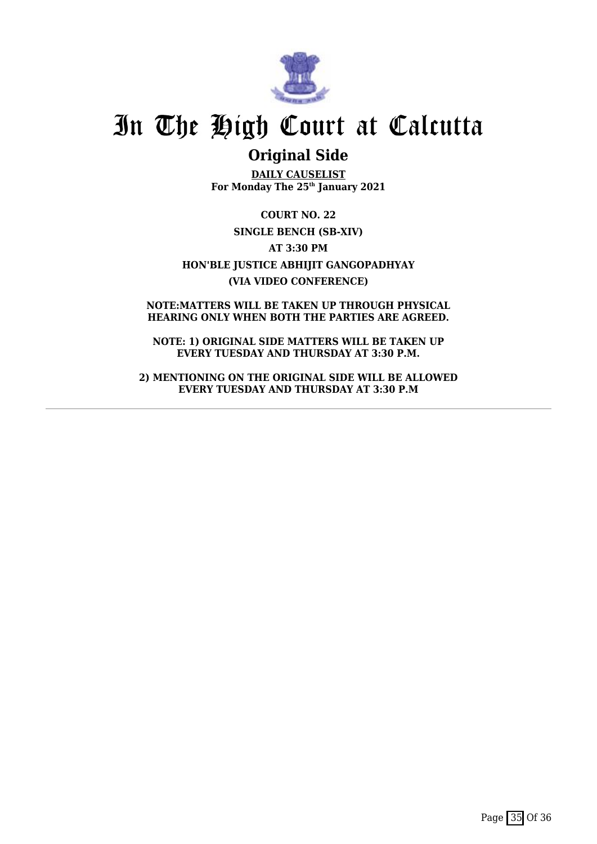

## **Original Side**

**DAILY CAUSELIST For Monday The 25th January 2021**

**COURT NO. 22 SINGLE BENCH (SB-XIV) AT 3:30 PM HON'BLE JUSTICE ABHIJIT GANGOPADHYAY (VIA VIDEO CONFERENCE)**

**NOTE:MATTERS WILL BE TAKEN UP THROUGH PHYSICAL HEARING ONLY WHEN BOTH THE PARTIES ARE AGREED.**

**NOTE: 1) ORIGINAL SIDE MATTERS WILL BE TAKEN UP EVERY TUESDAY AND THURSDAY AT 3:30 P.M.**

**2) MENTIONING ON THE ORIGINAL SIDE WILL BE ALLOWED EVERY TUESDAY AND THURSDAY AT 3:30 P.M**